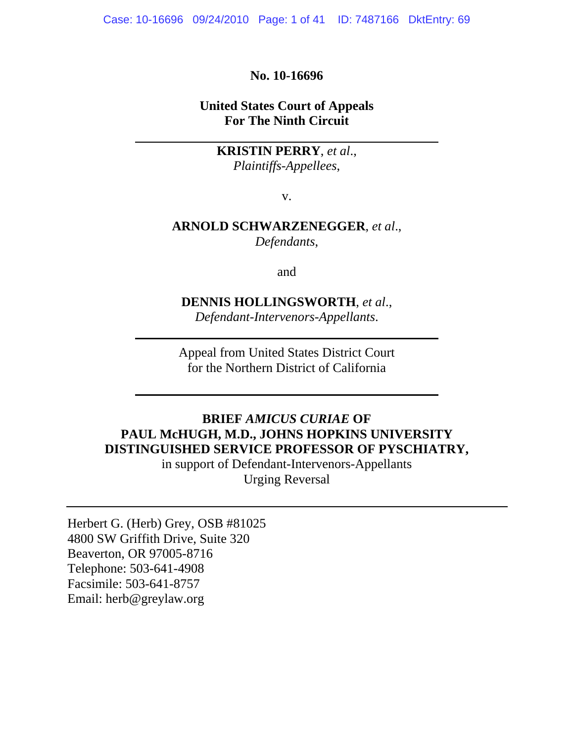Case: 10-16696 09/24/2010 Page: 1 of 41 ID: 7487166 DktEntry: 69

#### **No. 10-16696**

### **United States Court of Appeals For The Ninth Circuit**

**KRISTIN PERRY**, *et al*., *Plaintiffs-Appellees*,

v.

### **ARNOLD SCHWARZENEGGER**, *et al*., *Defendants*,

and

# **DENNIS HOLLINGSWORTH**, *et al*.,

*Defendant-Intervenors-Appellants*.

Appeal from United States District Court for the Northern District of California

### **BRIEF** *AMICUS CURIAE* **OF PAUL McHUGH, M.D., JOHNS HOPKINS UNIVERSITY DISTINGUISHED SERVICE PROFESSOR OF PYSCHIATRY,**

in support of Defendant-Intervenors-Appellants Urging Reversal

Herbert G. (Herb) Grey, OSB #81025 4800 SW Griffith Drive, Suite 320 Beaverton, OR 97005-8716 Telephone: 503-641-4908 Facsimile: 503-641-8757 Email: herb@greylaw.org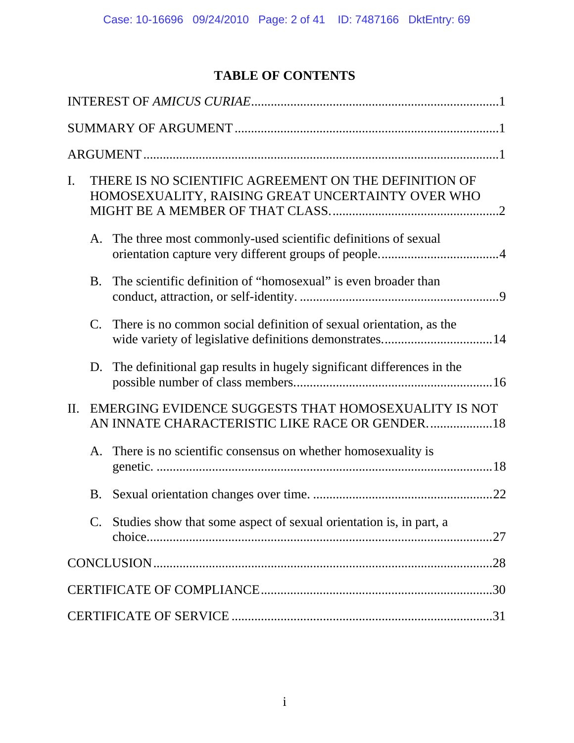# **TABLE OF CONTENTS**

| THERE IS NO SCIENTIFIC AGREEMENT ON THE DEFINITION OF<br>$\mathbf{I}$ .<br>HOMOSEXUALITY, RAISING GREAT UNCERTAINTY OVER WHO       |
|------------------------------------------------------------------------------------------------------------------------------------|
| A. The three most commonly-used scientific definitions of sexual                                                                   |
| The scientific definition of "homosexual" is even broader than<br><b>B.</b>                                                        |
| There is no common social definition of sexual orientation, as the<br>C.<br>wide variety of legislative definitions demonstrates14 |
| D. The definitional gap results in hugely significant differences in the                                                           |
| EMERGING EVIDENCE SUGGESTS THAT HOMOSEXUALITY IS NOT<br>II.<br>AN INNATE CHARACTERISTIC LIKE RACE OR GENDER18                      |
| A. There is no scientific consensus on whether homosexuality is                                                                    |
| B.                                                                                                                                 |
| $C_{\cdot}$<br>Studies show that some aspect of sexual orientation is, in part, a                                                  |
|                                                                                                                                    |
|                                                                                                                                    |
|                                                                                                                                    |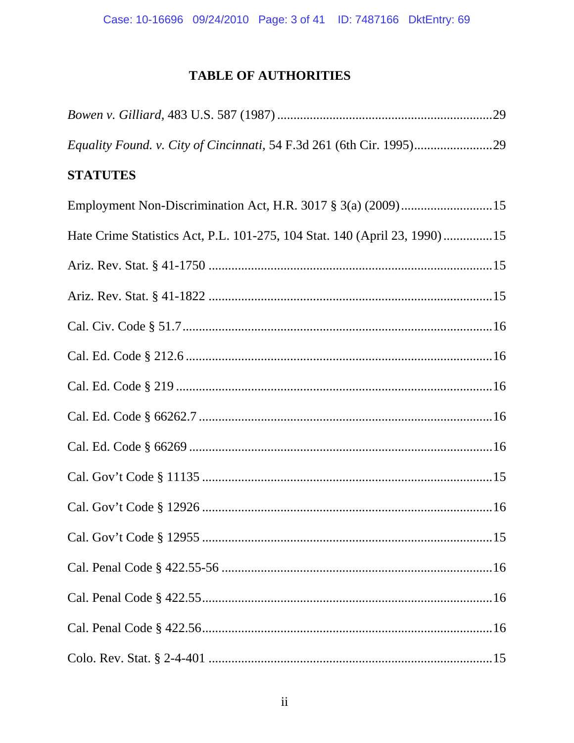# **TABLE OF AUTHORITIES**

| <b>STATUTES</b>                                                           |  |
|---------------------------------------------------------------------------|--|
|                                                                           |  |
| Hate Crime Statistics Act, P.L. 101-275, 104 Stat. 140 (April 23, 1990)15 |  |
|                                                                           |  |
|                                                                           |  |
|                                                                           |  |
|                                                                           |  |
|                                                                           |  |
|                                                                           |  |
|                                                                           |  |
|                                                                           |  |
|                                                                           |  |
|                                                                           |  |
|                                                                           |  |
|                                                                           |  |
|                                                                           |  |
|                                                                           |  |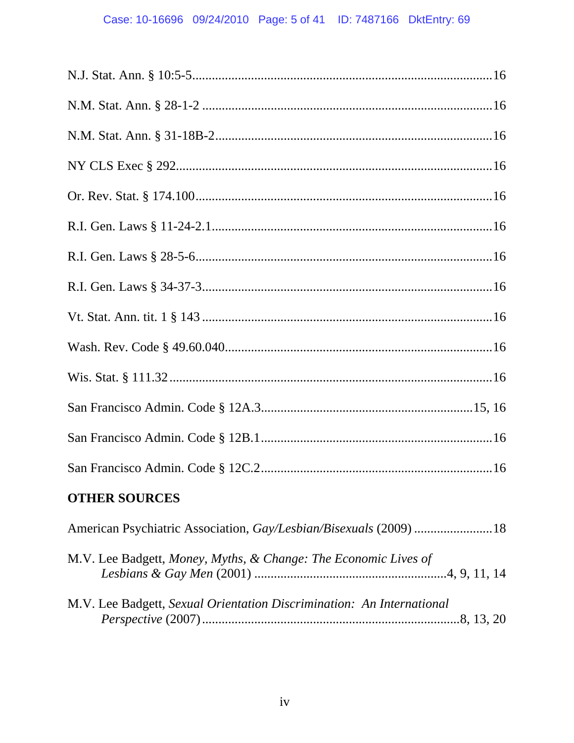# Case: 10-16696 09/24/2010 Page: 5 of 41 ID: 7487166 DktEntry: 69

| <b>OTHER SOURCES</b>                                                  |
|-----------------------------------------------------------------------|
| American Psychiatric Association, Gay/Lesbian/Bisexuals (2009)  18    |
| M.V. Lee Badgett, Money, Myths, & Change: The Economic Lives of       |
| M.V. Lee Badgett, Sexual Orientation Discrimination: An International |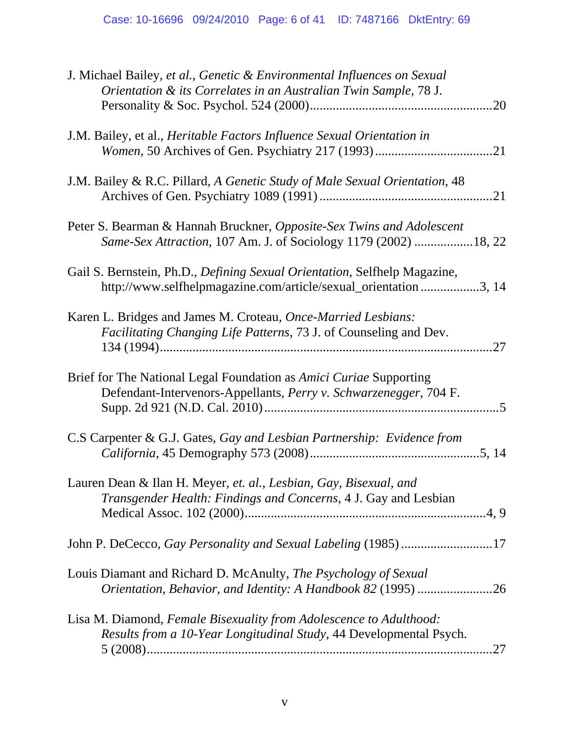| J. Michael Bailey, et al., Genetic & Environmental Influences on Sexual<br>Orientation & its Correlates in an Australian Twin Sample, 78 J.     |
|-------------------------------------------------------------------------------------------------------------------------------------------------|
| .20                                                                                                                                             |
| J.M. Bailey, et al., <i>Heritable Factors Influence Sexual Orientation in</i><br>.21                                                            |
| J.M. Bailey & R.C. Pillard, A Genetic Study of Male Sexual Orientation, 48                                                                      |
| Peter S. Bearman & Hannah Bruckner, Opposite-Sex Twins and Adolescent<br>Same-Sex Attraction, 107 Am. J. of Sociology 1179 (2002) 18, 22        |
| Gail S. Bernstein, Ph.D., Defining Sexual Orientation, Selfhelp Magazine,<br>http://www.selfhelpmagazine.com/article/sexual_orientation3, 14    |
| Karen L. Bridges and James M. Croteau, Once-Married Lesbians:<br><i>Facilitating Changing Life Patterns, 73 J. of Counseling and Dev.</i>       |
| Brief for The National Legal Foundation as <i>Amici Curiae</i> Supporting<br>Defendant-Intervenors-Appellants, Perry v. Schwarzenegger, 704 F.  |
| C.S Carpenter & G.J. Gates, Gay and Lesbian Partnership: Evidence from                                                                          |
| Lauren Dean & Ilan H. Meyer, et. al., Lesbian, Gay, Bisexual, and<br><i>Transgender Health: Findings and Concerns, 4 J. Gay and Lesbian</i>     |
| John P. DeCecco, Gay Personality and Sexual Labeling (1985) 17                                                                                  |
| Louis Diamant and Richard D. McAnulty, The Psychology of Sexual<br>Orientation, Behavior, and Identity: A Handbook 82 (1995) 26                 |
| Lisa M. Diamond, Female Bisexuality from Adolescence to Adulthood:<br>Results from a 10-Year Longitudinal Study, 44 Developmental Psych.<br>.27 |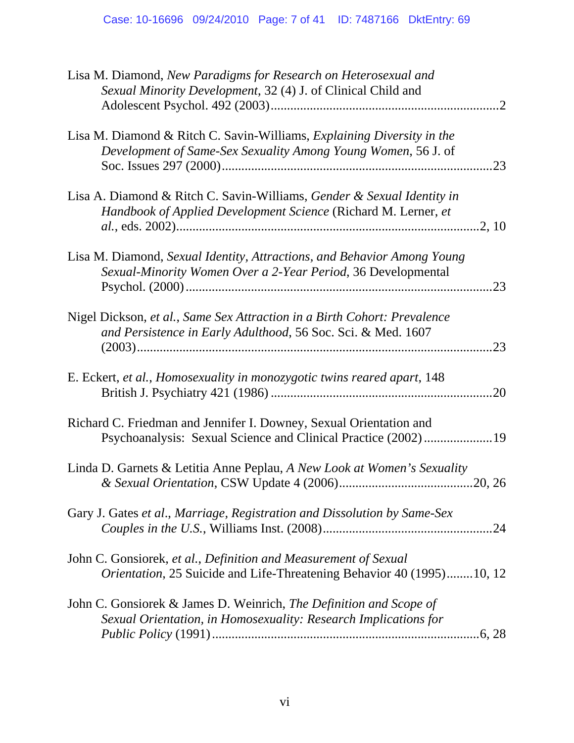| Lisa M. Diamond, New Paradigms for Research on Heterosexual and<br>Sexual Minority Development, 32 (4) J. of Clinical Child and          |
|------------------------------------------------------------------------------------------------------------------------------------------|
| Lisa M. Diamond & Ritch C. Savin-Williams, Explaining Diversity in the<br>Development of Same-Sex Sexuality Among Young Women, 56 J. of  |
| Lisa A. Diamond & Ritch C. Savin-Williams, Gender & Sexual Identity in<br>Handbook of Applied Development Science (Richard M. Lerner, et |
| Lisa M. Diamond, Sexual Identity, Attractions, and Behavior Among Young<br>Sexual-Minority Women Over a 2-Year Period, 36 Developmental  |
| Nigel Dickson, et al., Same Sex Attraction in a Birth Cohort: Prevalence<br>and Persistence in Early Adulthood, 56 Soc. Sci. & Med. 1607 |
| E. Eckert, et al., Homosexuality in monozygotic twins reared apart, 148                                                                  |
| Richard C. Friedman and Jennifer I. Downey, Sexual Orientation and<br>Psychoanalysis: Sexual Science and Clinical Practice (2002)19      |
| Linda D. Garnets & Letitia Anne Peplau, A New Look at Women's Sexuality                                                                  |
| Gary J. Gates et al., Marriage, Registration and Dissolution by Same-Sex                                                                 |
| John C. Gonsiorek, et al., Definition and Measurement of Sexual<br>Orientation, 25 Suicide and Life-Threatening Behavior 40 (1995)10, 12 |
| John C. Gonsiorek & James D. Weinrich, The Definition and Scope of<br>Sexual Orientation, in Homosexuality: Research Implications for    |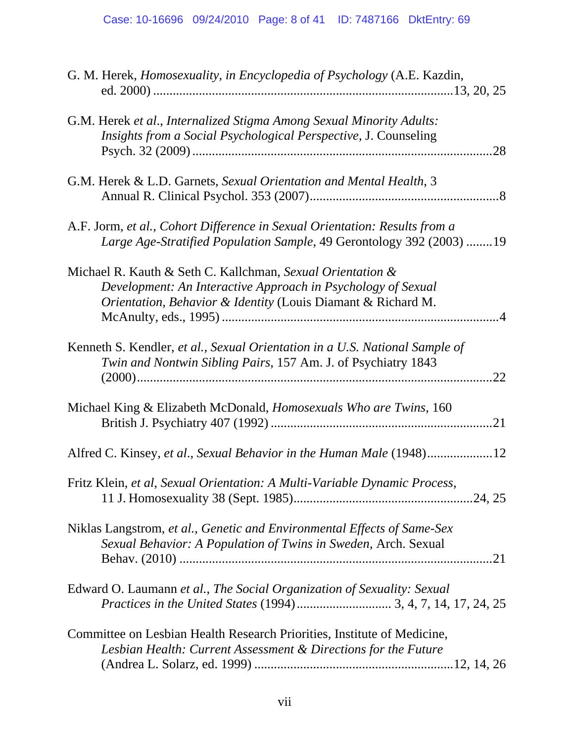| G. M. Herek, <i>Homosexuality</i> , in <i>Encyclopedia of Psychology</i> (A.E. Kazdin,                                                                                                     |
|--------------------------------------------------------------------------------------------------------------------------------------------------------------------------------------------|
| G.M. Herek et al., Internalized Stigma Among Sexual Minority Adults:<br>Insights from a Social Psychological Perspective, J. Counseling<br>.28                                             |
| G.M. Herek & L.D. Garnets, Sexual Orientation and Mental Health, 3                                                                                                                         |
| A.F. Jorm, et al., Cohort Difference in Sexual Orientation: Results from a<br>Large Age-Stratified Population Sample, 49 Gerontology 392 (2003) 19                                         |
| Michael R. Kauth & Seth C. Kallchman, Sexual Orientation &<br>Development: An Interactive Approach in Psychology of Sexual<br>Orientation, Behavior & Identity (Louis Diamant & Richard M. |
| Kenneth S. Kendler, et al., Sexual Orientation in a U.S. National Sample of<br>Twin and Nontwin Sibling Pairs, 157 Am. J. of Psychiatry 1843<br>.22                                        |
| Michael King & Elizabeth McDonald, <i>Homosexuals Who are Twins</i> , 160                                                                                                                  |
| Alfred C. Kinsey, et al., Sexual Behavior in the Human Male (1948)12                                                                                                                       |
| Fritz Klein, et al, Sexual Orientation: A Multi-Variable Dynamic Process,                                                                                                                  |
| Niklas Langstrom, et al., Genetic and Environmental Effects of Same-Sex<br>Sexual Behavior: A Population of Twins in Sweden, Arch. Sexual                                                  |
| Edward O. Laumann et al., The Social Organization of Sexuality: Sexual                                                                                                                     |
| Committee on Lesbian Health Research Priorities, Institute of Medicine,<br>Lesbian Health: Current Assessment & Directions for the Future                                                  |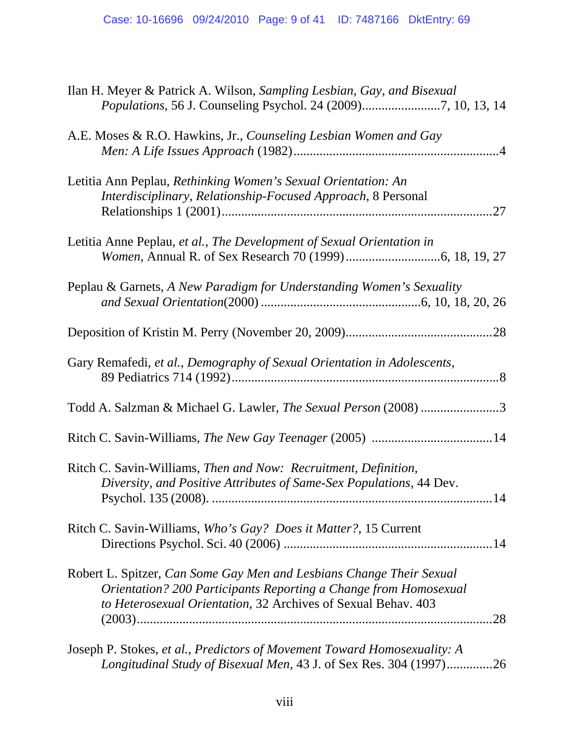| Ilan H. Meyer & Patrick A. Wilson, Sampling Lesbian, Gay, and Bisexual                                                                                                                                           |
|------------------------------------------------------------------------------------------------------------------------------------------------------------------------------------------------------------------|
| A.E. Moses & R.O. Hawkins, Jr., Counseling Lesbian Women and Gay                                                                                                                                                 |
| Letitia Ann Peplau, Rethinking Women's Sexual Orientation: An<br>Interdisciplinary, Relationship-Focused Approach, 8 Personal<br>.27                                                                             |
| Letitia Anne Peplau, et al., The Development of Sexual Orientation in                                                                                                                                            |
| Peplau & Garnets, A New Paradigm for Understanding Women's Sexuality                                                                                                                                             |
|                                                                                                                                                                                                                  |
| Gary Remafedi, et al., Demography of Sexual Orientation in Adolescents,                                                                                                                                          |
| Todd A. Salzman & Michael G. Lawler, The Sexual Person (2008) 3                                                                                                                                                  |
|                                                                                                                                                                                                                  |
| Ritch C. Savin-Williams, Then and Now: Recruitment, Definition,<br>Diversity, and Positive Attributes of Same-Sex Populations, 44 Dev.                                                                           |
| Ritch C. Savin-Williams, Who's Gay? Does it Matter?, 15 Current                                                                                                                                                  |
| Robert L. Spitzer, Can Some Gay Men and Lesbians Change Their Sexual<br>Orientation? 200 Participants Reporting a Change from Homosexual<br>to Heterosexual Orientation, 32 Archives of Sexual Behav. 403<br>.28 |
| Joseph P. Stokes, et al., Predictors of Movement Toward Homosexuality: A<br>Longitudinal Study of Bisexual Men, 43 J. of Sex Res. 304 (1997)26                                                                   |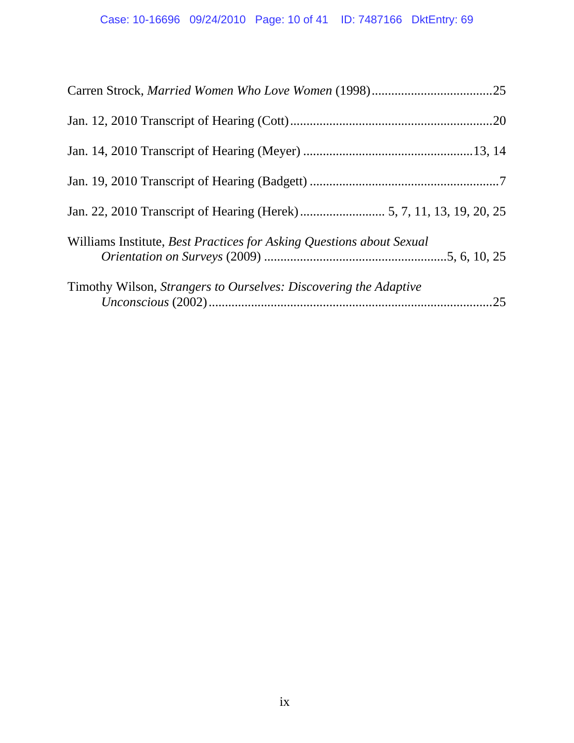| Williams Institute, Best Practices for Asking Questions about Sexual    |     |
|-------------------------------------------------------------------------|-----|
| Timothy Wilson, <i>Strangers to Ourselves: Discovering the Adaptive</i> | .25 |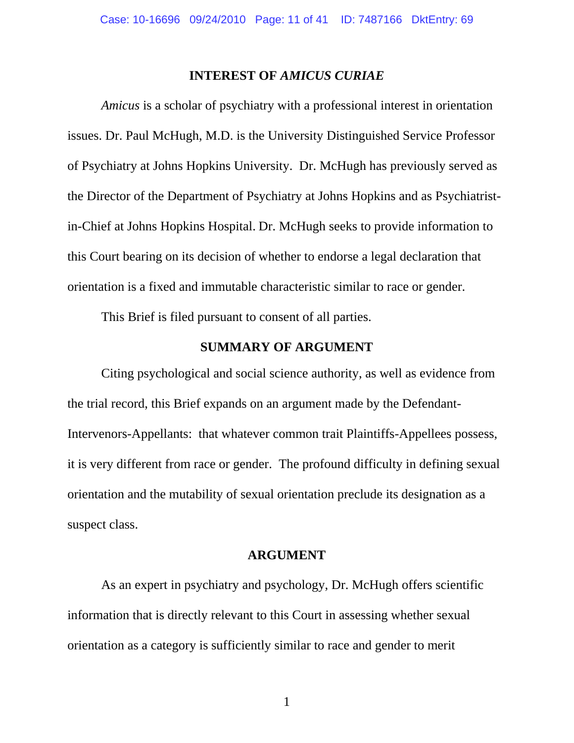#### **INTEREST OF** *AMICUS CURIAE*

*Amicus* is a scholar of psychiatry with a professional interest in orientation issues. Dr. Paul McHugh, M.D. is the University Distinguished Service Professor of Psychiatry at Johns Hopkins University. Dr. McHugh has previously served as the Director of the Department of Psychiatry at Johns Hopkins and as Psychiatristin-Chief at Johns Hopkins Hospital. Dr. McHugh seeks to provide information to this Court bearing on its decision of whether to endorse a legal declaration that orientation is a fixed and immutable characteristic similar to race or gender.

This Brief is filed pursuant to consent of all parties.

### **SUMMARY OF ARGUMENT**

Citing psychological and social science authority, as well as evidence from the trial record, this Brief expands on an argument made by the Defendant-Intervenors-Appellants: that whatever common trait Plaintiffs-Appellees possess, it is very different from race or gender. The profound difficulty in defining sexual orientation and the mutability of sexual orientation preclude its designation as a suspect class.

### **ARGUMENT**

As an expert in psychiatry and psychology, Dr. McHugh offers scientific information that is directly relevant to this Court in assessing whether sexual orientation as a category is sufficiently similar to race and gender to merit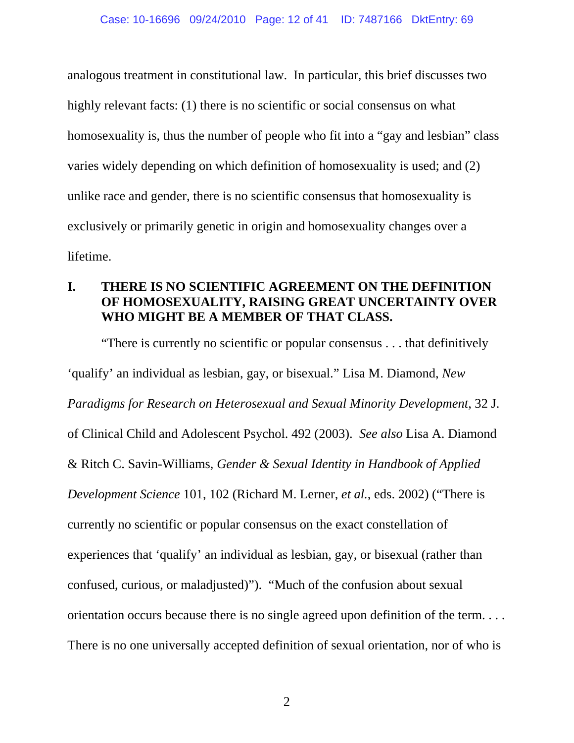analogous treatment in constitutional law. In particular, this brief discusses two highly relevant facts: (1) there is no scientific or social consensus on what homosexuality is, thus the number of people who fit into a "gay and lesbian" class varies widely depending on which definition of homosexuality is used; and (2) unlike race and gender, there is no scientific consensus that homosexuality is exclusively or primarily genetic in origin and homosexuality changes over a lifetime.

### **I. THERE IS NO SCIENTIFIC AGREEMENT ON THE DEFINITION OF HOMOSEXUALITY, RAISING GREAT UNCERTAINTY OVER WHO MIGHT BE A MEMBER OF THAT CLASS.**

"There is currently no scientific or popular consensus . . . that definitively 'qualify' an individual as lesbian, gay, or bisexual." Lisa M. Diamond, *New Paradigms for Research on Heterosexual and Sexual Minority Development*, 32 J. of Clinical Child and Adolescent Psychol. 492 (2003). *See also* Lisa A. Diamond & Ritch C. Savin-Williams, *Gender & Sexual Identity in Handbook of Applied Development Science* 101, 102 (Richard M. Lerner, *et al.*, eds. 2002) ("There is currently no scientific or popular consensus on the exact constellation of experiences that 'qualify' an individual as lesbian, gay, or bisexual (rather than confused, curious, or maladjusted)"). "Much of the confusion about sexual orientation occurs because there is no single agreed upon definition of the term. . . . There is no one universally accepted definition of sexual orientation, nor of who is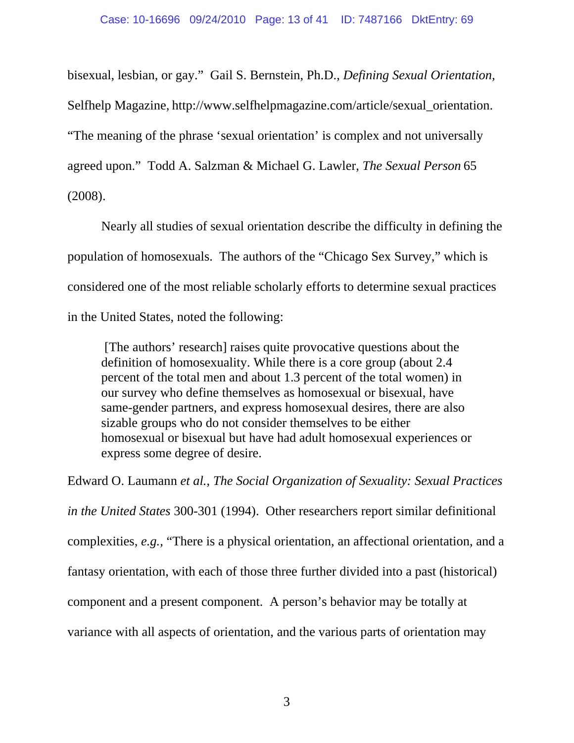bisexual, lesbian, or gay." Gail S. Bernstein, Ph.D., *Defining Sexual Orientation,*  Selfhelp Magazine, http://www.selfhelpmagazine.com/article/sexual\_orientation. "The meaning of the phrase 'sexual orientation' is complex and not universally agreed upon." Todd A. Salzman & Michael G. Lawler, *The Sexual Person* 65 (2008).

Nearly all studies of sexual orientation describe the difficulty in defining the population of homosexuals. The authors of the "Chicago Sex Survey," which is considered one of the most reliable scholarly efforts to determine sexual practices in the United States, noted the following:

 [The authors' research] raises quite provocative questions about the definition of homosexuality. While there is a core group (about 2.4 percent of the total men and about 1.3 percent of the total women) in our survey who define themselves as homosexual or bisexual, have same-gender partners, and express homosexual desires, there are also sizable groups who do not consider themselves to be either homosexual or bisexual but have had adult homosexual experiences or express some degree of desire.

Edward O. Laumann *et al.*, *The Social Organization of Sexuality: Sexual Practices in the United States* 300-301 (1994). Other researchers report similar definitional complexities, *e.g.,* "There is a physical orientation, an affectional orientation, and a fantasy orientation, with each of those three further divided into a past (historical) component and a present component. A person's behavior may be totally at variance with all aspects of orientation, and the various parts of orientation may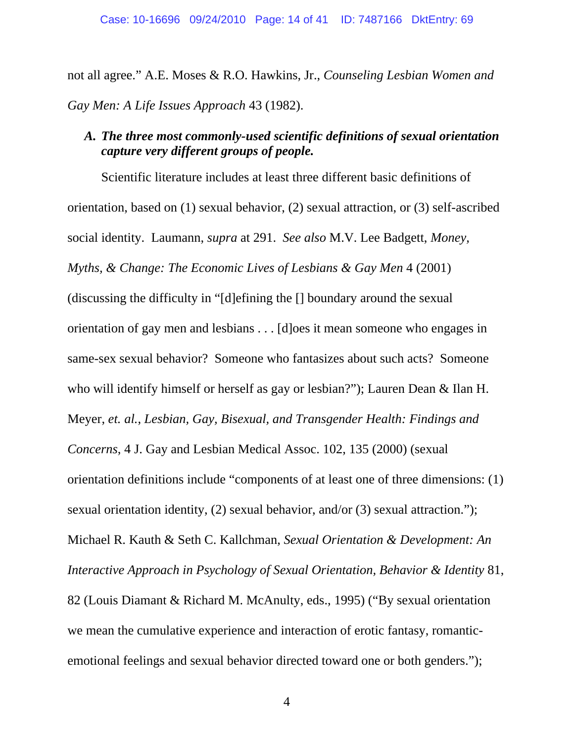not all agree." A.E. Moses & R.O. Hawkins, Jr., *Counseling Lesbian Women and Gay Men: A Life Issues Approach* 43 (1982).

### *A. The three most commonly-used scientific definitions of sexual orientation capture very different groups of people.*

Scientific literature includes at least three different basic definitions of orientation, based on (1) sexual behavior, (2) sexual attraction, or (3) self-ascribed social identity. Laumann, *supra* at 291. *See also* M.V. Lee Badgett, *Money, Myths, & Change: The Economic Lives of Lesbians & Gay Men* 4 (2001) (discussing the difficulty in "[d]efining the [] boundary around the sexual orientation of gay men and lesbians . . . [d]oes it mean someone who engages in same-sex sexual behavior? Someone who fantasizes about such acts? Someone who will identify himself or herself as gay or lesbian?"); Lauren Dean & Ilan H. Meyer, *et. al.*, *Lesbian, Gay, Bisexual, and Transgender Health: Findings and Concerns*, 4 J. Gay and Lesbian Medical Assoc. 102, 135 (2000) (sexual orientation definitions include "components of at least one of three dimensions: (1) sexual orientation identity, (2) sexual behavior, and/or (3) sexual attraction."); Michael R. Kauth & Seth C. Kallchman, *Sexual Orientation & Development: An Interactive Approach in Psychology of Sexual Orientation, Behavior & Identity* 81, 82 (Louis Diamant & Richard M. McAnulty, eds., 1995) ("By sexual orientation we mean the cumulative experience and interaction of erotic fantasy, romanticemotional feelings and sexual behavior directed toward one or both genders.");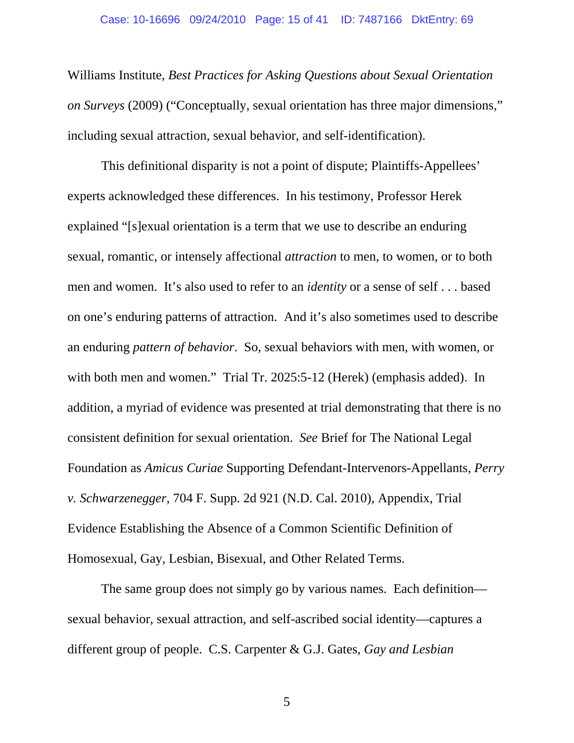#### Case: 10-16696 09/24/2010 Page: 15 of 41 ID: 7487166 DktEntry: 69

Williams Institute, *Best Practices for Asking Questions about Sexual Orientation on Surveys* (2009) ("Conceptually, sexual orientation has three major dimensions," including sexual attraction, sexual behavior, and self-identification).

This definitional disparity is not a point of dispute; Plaintiffs-Appellees' experts acknowledged these differences. In his testimony, Professor Herek explained "[s]exual orientation is a term that we use to describe an enduring sexual, romantic, or intensely affectional *attraction* to men, to women, or to both men and women. It's also used to refer to an *identity* or a sense of self . . . based on one's enduring patterns of attraction. And it's also sometimes used to describe an enduring *pattern of behavior*. So, sexual behaviors with men, with women, or with both men and women." Trial Tr. 2025:5-12 (Herek) (emphasis added). In addition, a myriad of evidence was presented at trial demonstrating that there is no consistent definition for sexual orientation. *See* Brief for The National Legal Foundation as *Amicus Curiae* Supporting Defendant-Intervenors-Appellants, *Perry v. Schwarzenegger*, 704 F. Supp. 2d 921 (N.D. Cal. 2010), Appendix, Trial Evidence Establishing the Absence of a Common Scientific Definition of Homosexual, Gay, Lesbian, Bisexual, and Other Related Terms.

The same group does not simply go by various names. Each definition sexual behavior, sexual attraction, and self-ascribed social identity—captures a different group of people. C.S. Carpenter & G.J. Gates, *Gay and Lesbian*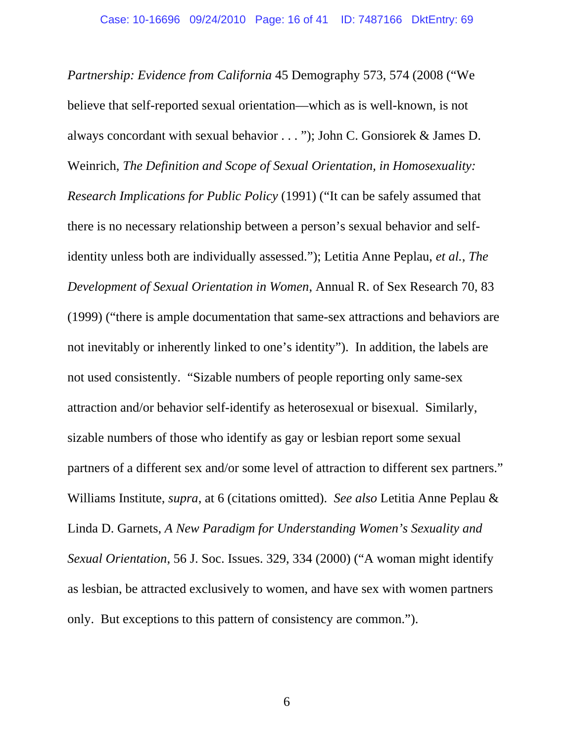*Partnership: Evidence from California* 45 Demography 573, 574 (2008 ("We believe that self-reported sexual orientation—which as is well-known, is not always concordant with sexual behavior . . . "); John C. Gonsiorek & James D. Weinrich, *The Definition and Scope of Sexual Orientation, in Homosexuality: Research Implications for Public Policy* (1991) ("It can be safely assumed that there is no necessary relationship between a person's sexual behavior and selfidentity unless both are individually assessed."); Letitia Anne Peplau, *et al.*, *The Development of Sexual Orientation in Women*, Annual R. of Sex Research 70, 83 (1999) ("there is ample documentation that same-sex attractions and behaviors are not inevitably or inherently linked to one's identity"). In addition, the labels are not used consistently. "Sizable numbers of people reporting only same-sex attraction and/or behavior self-identify as heterosexual or bisexual. Similarly, sizable numbers of those who identify as gay or lesbian report some sexual partners of a different sex and/or some level of attraction to different sex partners." Williams Institute, *supra*, at 6 (citations omitted). *See also* Letitia Anne Peplau & Linda D. Garnets, *A New Paradigm for Understanding Women's Sexuality and Sexual Orientation*, 56 J. Soc. Issues. 329, 334 (2000) ("A woman might identify as lesbian, be attracted exclusively to women, and have sex with women partners only. But exceptions to this pattern of consistency are common.").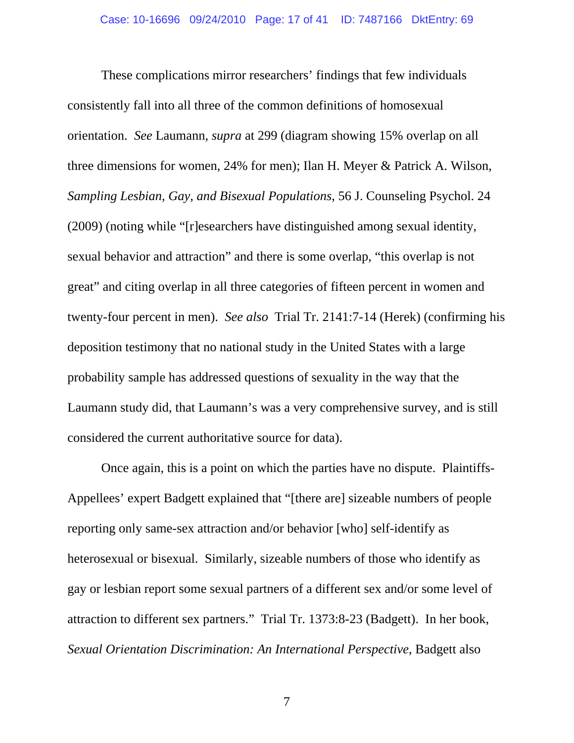These complications mirror researchers' findings that few individuals consistently fall into all three of the common definitions of homosexual orientation. *See* Laumann, *supra* at 299 (diagram showing 15% overlap on all three dimensions for women, 24% for men); Ilan H. Meyer & Patrick A. Wilson, *Sampling Lesbian, Gay, and Bisexual Populations*, 56 J. Counseling Psychol. 24 (2009) (noting while "[r]esearchers have distinguished among sexual identity, sexual behavior and attraction" and there is some overlap, "this overlap is not great" and citing overlap in all three categories of fifteen percent in women and twenty-four percent in men). *See also* Trial Tr. 2141:7-14 (Herek) (confirming his deposition testimony that no national study in the United States with a large probability sample has addressed questions of sexuality in the way that the Laumann study did, that Laumann's was a very comprehensive survey, and is still considered the current authoritative source for data).

Once again, this is a point on which the parties have no dispute. Plaintiffs-Appellees' expert Badgett explained that "[there are] sizeable numbers of people reporting only same-sex attraction and/or behavior [who] self-identify as heterosexual or bisexual. Similarly, sizeable numbers of those who identify as gay or lesbian report some sexual partners of a different sex and/or some level of attraction to different sex partners." Trial Tr. 1373:8-23 (Badgett). In her book, *Sexual Orientation Discrimination: An International Perspective*, Badgett also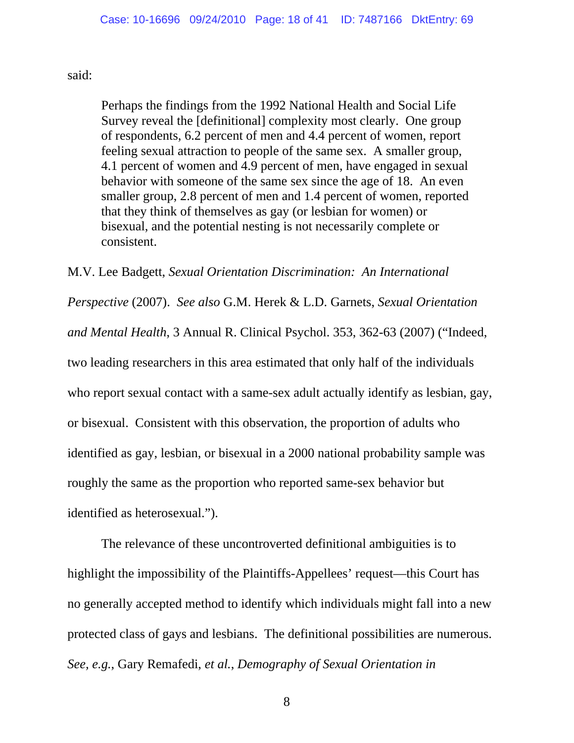#### said:

Perhaps the findings from the 1992 National Health and Social Life Survey reveal the [definitional] complexity most clearly. One group of respondents, 6.2 percent of men and 4.4 percent of women, report feeling sexual attraction to people of the same sex. A smaller group, 4.1 percent of women and 4.9 percent of men, have engaged in sexual behavior with someone of the same sex since the age of 18. An even smaller group, 2.8 percent of men and 1.4 percent of women, reported that they think of themselves as gay (or lesbian for women) or bisexual, and the potential nesting is not necessarily complete or consistent.

M.V. Lee Badgett, *Sexual Orientation Discrimination: An International Perspective* (2007). *See also* G.M. Herek & L.D. Garnets, *Sexual Orientation and Mental Health*, 3 Annual R. Clinical Psychol. 353, 362-63 (2007) ("Indeed, two leading researchers in this area estimated that only half of the individuals who report sexual contact with a same-sex adult actually identify as lesbian, gay, or bisexual. Consistent with this observation, the proportion of adults who identified as gay, lesbian, or bisexual in a 2000 national probability sample was roughly the same as the proportion who reported same-sex behavior but identified as heterosexual.").

The relevance of these uncontroverted definitional ambiguities is to highlight the impossibility of the Plaintiffs-Appellees' request—this Court has no generally accepted method to identify which individuals might fall into a new protected class of gays and lesbians. The definitional possibilities are numerous. *See, e.g.*, Gary Remafedi, *et al.*, *Demography of Sexual Orientation in*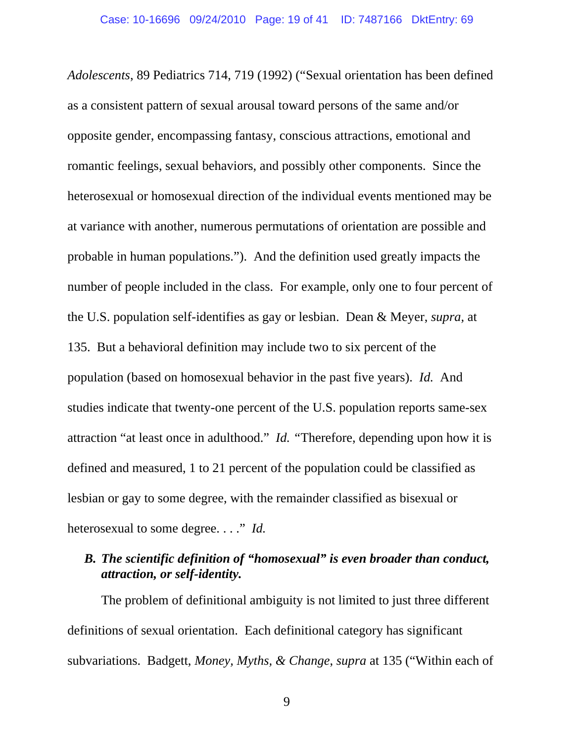*Adolescents*, 89 Pediatrics 714, 719 (1992) ("Sexual orientation has been defined as a consistent pattern of sexual arousal toward persons of the same and/or opposite gender, encompassing fantasy, conscious attractions, emotional and romantic feelings, sexual behaviors, and possibly other components. Since the heterosexual or homosexual direction of the individual events mentioned may be at variance with another, numerous permutations of orientation are possible and probable in human populations."). And the definition used greatly impacts the number of people included in the class. For example, only one to four percent of the U.S. population self-identifies as gay or lesbian. Dean & Meyer, *supra,* at 135. But a behavioral definition may include two to six percent of the population (based on homosexual behavior in the past five years). *Id.* And studies indicate that twenty-one percent of the U.S. population reports same-sex attraction "at least once in adulthood." *Id. "*Therefore, depending upon how it is defined and measured, 1 to 21 percent of the population could be classified as lesbian or gay to some degree, with the remainder classified as bisexual or heterosexual to some degree. . . ." *Id.* 

### *B. The scientific definition of "homosexual" is even broader than conduct, attraction, or self-identity.*

The problem of definitional ambiguity is not limited to just three different definitions of sexual orientation. Each definitional category has significant subvariations. Badgett, *Money, Myths, & Change*, *supra* at 135 ("Within each of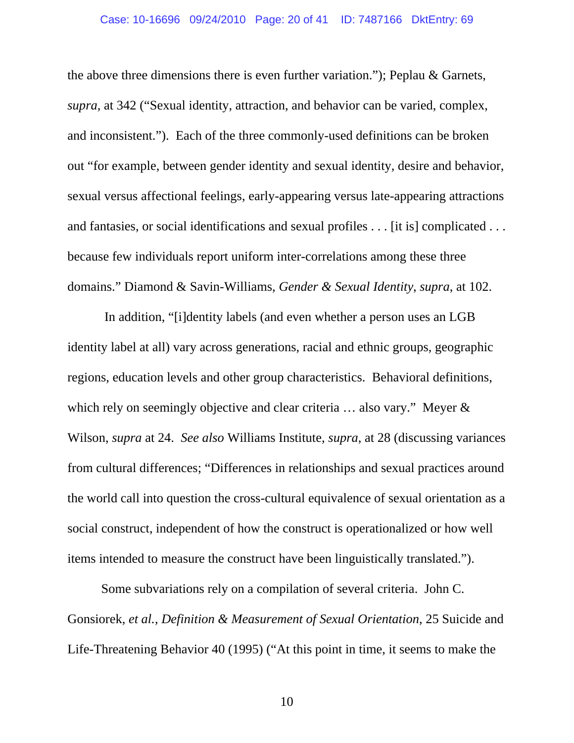#### Case: 10-16696 09/24/2010 Page: 20 of 41 ID: 7487166 DktEntry: 69

the above three dimensions there is even further variation."); Peplau & Garnets, *supra*, at 342 ("Sexual identity, attraction, and behavior can be varied, complex, and inconsistent."). Each of the three commonly-used definitions can be broken out "for example, between gender identity and sexual identity, desire and behavior, sexual versus affectional feelings, early-appearing versus late-appearing attractions and fantasies, or social identifications and sexual profiles . . . [it is] complicated . . . because few individuals report uniform inter-correlations among these three domains." Diamond & Savin-Williams, *Gender & Sexual Identity*, *supra*, at 102.

 In addition, "[i]dentity labels (and even whether a person uses an LGB identity label at all) vary across generations, racial and ethnic groups, geographic regions, education levels and other group characteristics. Behavioral definitions, which rely on seemingly objective and clear criteria ... also vary." Meyer & Wilson, *supra* at 24. *See also* Williams Institute, *supra*, at 28 (discussing variances from cultural differences; "Differences in relationships and sexual practices around the world call into question the cross-cultural equivalence of sexual orientation as a social construct, independent of how the construct is operationalized or how well items intended to measure the construct have been linguistically translated.").

Some subvariations rely on a compilation of several criteria. John C. Gonsiorek, *et al.*, *Definition & Measurement of Sexual Orientation*, 25 Suicide and Life-Threatening Behavior 40 (1995) ("At this point in time, it seems to make the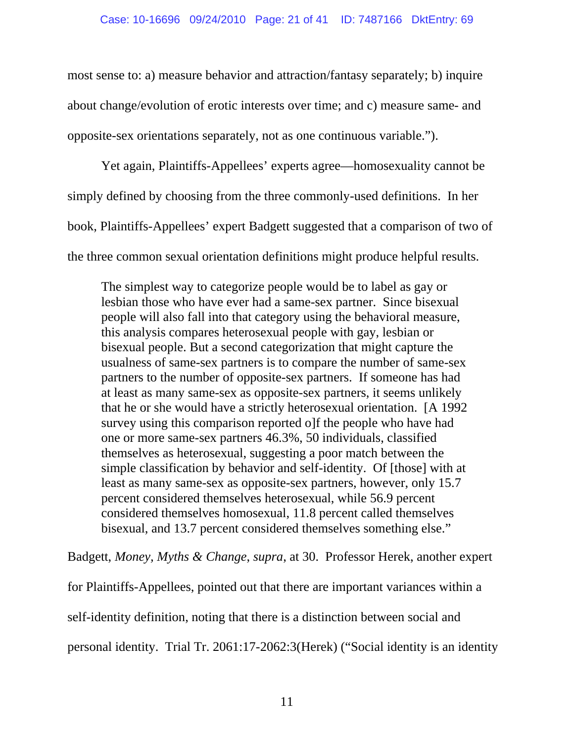most sense to: a) measure behavior and attraction/fantasy separately; b) inquire about change/evolution of erotic interests over time; and c) measure same- and opposite-sex orientations separately, not as one continuous variable.").

Yet again, Plaintiffs-Appellees' experts agree—homosexuality cannot be simply defined by choosing from the three commonly-used definitions. In her book, Plaintiffs-Appellees' expert Badgett suggested that a comparison of two of the three common sexual orientation definitions might produce helpful results.

The simplest way to categorize people would be to label as gay or lesbian those who have ever had a same-sex partner. Since bisexual people will also fall into that category using the behavioral measure, this analysis compares heterosexual people with gay, lesbian or bisexual people. But a second categorization that might capture the usualness of same-sex partners is to compare the number of same-sex partners to the number of opposite-sex partners. If someone has had at least as many same-sex as opposite-sex partners, it seems unlikely that he or she would have a strictly heterosexual orientation. [A 1992 survey using this comparison reported o]f the people who have had one or more same-sex partners 46.3%, 50 individuals, classified themselves as heterosexual, suggesting a poor match between the simple classification by behavior and self-identity. Of [those] with at least as many same-sex as opposite-sex partners, however, only 15.7 percent considered themselves heterosexual, while 56.9 percent considered themselves homosexual, 11.8 percent called themselves bisexual, and 13.7 percent considered themselves something else."

Badgett, *Money, Myths & Change*, *supra*, at 30. Professor Herek, another expert

for Plaintiffs-Appellees, pointed out that there are important variances within a self-identity definition, noting that there is a distinction between social and personal identity. Trial Tr. 2061:17-2062:3(Herek) ("Social identity is an identity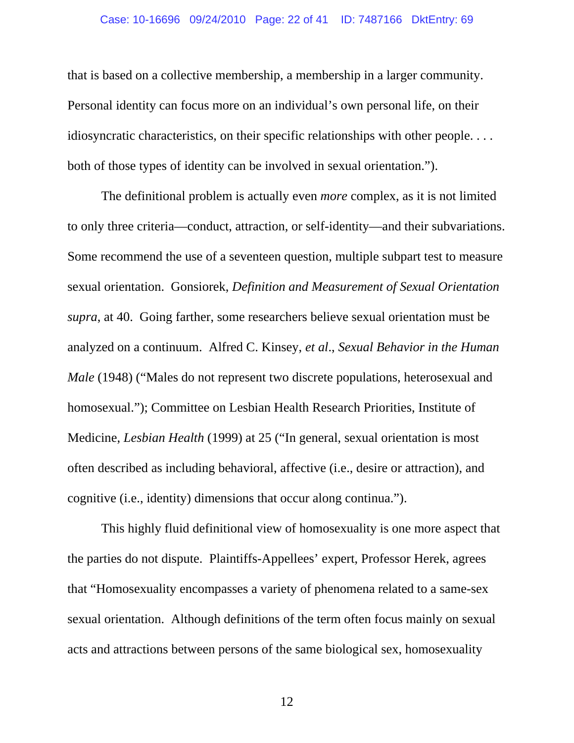#### Case: 10-16696 09/24/2010 Page: 22 of 41 ID: 7487166 DktEntry: 69

that is based on a collective membership, a membership in a larger community. Personal identity can focus more on an individual's own personal life, on their idiosyncratic characteristics, on their specific relationships with other people. . . . both of those types of identity can be involved in sexual orientation.").

The definitional problem is actually even *more* complex, as it is not limited to only three criteria—conduct, attraction, or self-identity—and their subvariations. Some recommend the use of a seventeen question, multiple subpart test to measure sexual orientation. Gonsiorek, *Definition and Measurement of Sexual Orientation supra*, at 40. Going farther, some researchers believe sexual orientation must be analyzed on a continuum. Alfred C. Kinsey, *et al*., *Sexual Behavior in the Human Male* (1948) ("Males do not represent two discrete populations, heterosexual and homosexual."); Committee on Lesbian Health Research Priorities, Institute of Medicine, *Lesbian Health* (1999) at 25 ("In general, sexual orientation is most often described as including behavioral, affective (i.e., desire or attraction), and cognitive (i.e., identity) dimensions that occur along continua.").

This highly fluid definitional view of homosexuality is one more aspect that the parties do not dispute. Plaintiffs-Appellees' expert, Professor Herek, agrees that "Homosexuality encompasses a variety of phenomena related to a same-sex sexual orientation. Although definitions of the term often focus mainly on sexual acts and attractions between persons of the same biological sex, homosexuality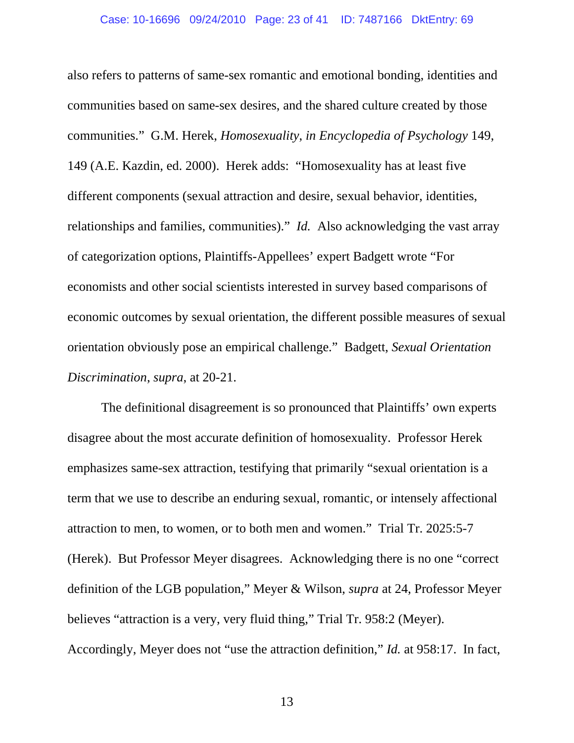also refers to patterns of same-sex romantic and emotional bonding, identities and communities based on same-sex desires, and the shared culture created by those communities." G.M. Herek, *Homosexuality*, *in Encyclopedia of Psychology* 149, 149 (A.E. Kazdin, ed. 2000). Herek adds: "Homosexuality has at least five different components (sexual attraction and desire, sexual behavior, identities, relationships and families, communities)." *Id.* Also acknowledging the vast array of categorization options, Plaintiffs-Appellees' expert Badgett wrote "For economists and other social scientists interested in survey based comparisons of economic outcomes by sexual orientation, the different possible measures of sexual orientation obviously pose an empirical challenge." Badgett, *Sexual Orientation Discrimination*, *supra*, at 20-21.

The definitional disagreement is so pronounced that Plaintiffs' own experts disagree about the most accurate definition of homosexuality. Professor Herek emphasizes same-sex attraction, testifying that primarily "sexual orientation is a term that we use to describe an enduring sexual, romantic, or intensely affectional attraction to men, to women, or to both men and women." Trial Tr. 2025:5-7 (Herek). But Professor Meyer disagrees. Acknowledging there is no one "correct definition of the LGB population," Meyer & Wilson, *supra* at 24, Professor Meyer believes "attraction is a very, very fluid thing," Trial Tr. 958:2 (Meyer). Accordingly, Meyer does not "use the attraction definition," *Id.* at 958:17. In fact,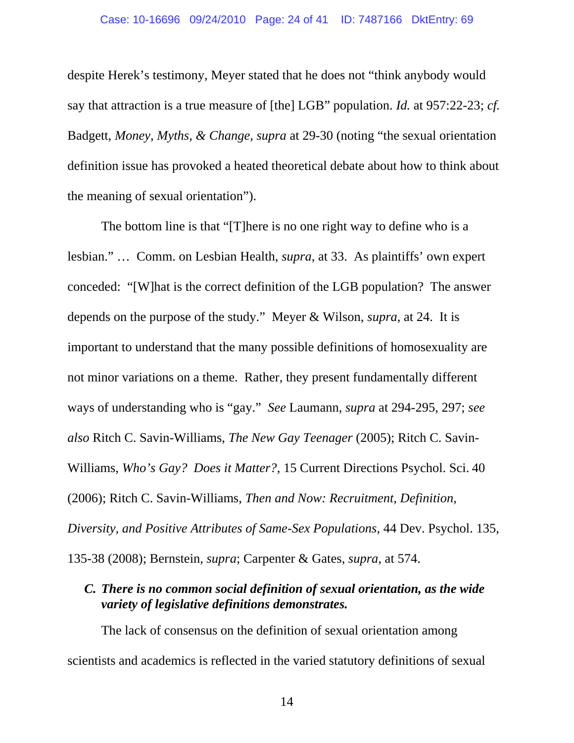#### Case: 10-16696 09/24/2010 Page: 24 of 41 ID: 7487166 DktEntry: 69

despite Herek's testimony, Meyer stated that he does not "think anybody would say that attraction is a true measure of [the] LGB" population. *Id.* at 957:22-23; *cf.* Badgett, *Money, Myths, & Change*, *supra* at 29-30 (noting "the sexual orientation definition issue has provoked a heated theoretical debate about how to think about the meaning of sexual orientation").

The bottom line is that "[T]here is no one right way to define who is a lesbian." … Comm. on Lesbian Health, *supra*, at 33. As plaintiffs' own expert conceded: "[W]hat is the correct definition of the LGB population? The answer depends on the purpose of the study." Meyer & Wilson, *supra*, at 24. It is important to understand that the many possible definitions of homosexuality are not minor variations on a theme. Rather, they present fundamentally different ways of understanding who is "gay." *See* Laumann, *supra* at 294-295, 297; *see also* Ritch C. Savin-Williams, *The New Gay Teenager* (2005); Ritch C. Savin-Williams, *Who's Gay? Does it Matter?*, 15 Current Directions Psychol. Sci. 40 (2006); Ritch C. Savin-Williams, *Then and Now: Recruitment, Definition, Diversity, and Positive Attributes of Same-Sex Populations*, 44 Dev. Psychol. 135, 135-38 (2008); Bernstein, *supra*; Carpenter & Gates, *supra*, at 574.

### *C. There is no common social definition of sexual orientation, as the wide variety of legislative definitions demonstrates.*

The lack of consensus on the definition of sexual orientation among scientists and academics is reflected in the varied statutory definitions of sexual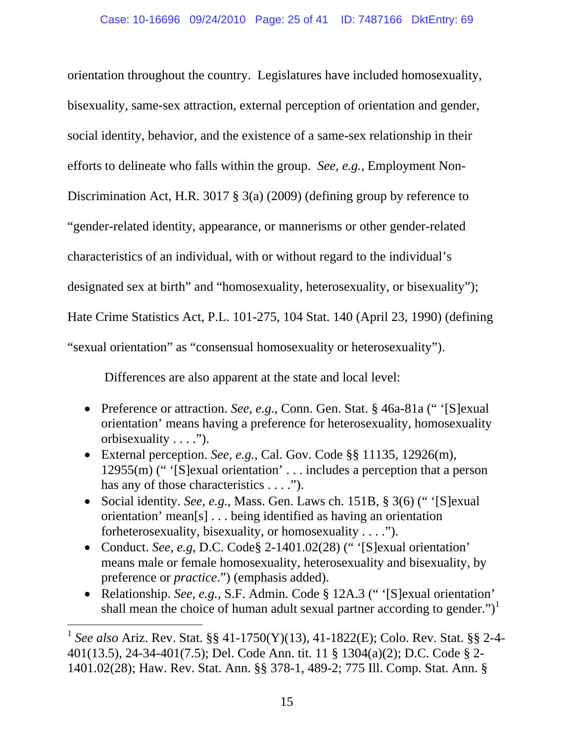orientation throughout the country. Legislatures have included homosexuality, bisexuality, same-sex attraction, external perception of orientation and gender, social identity, behavior, and the existence of a same-sex relationship in their efforts to delineate who falls within the group. *See, e.g.,* Employment Non-Discrimination Act, H.R. 3017 § 3(a) (2009) (defining group by reference to "gender-related identity, appearance, or mannerisms or other gender-related characteristics of an individual, with or without regard to the individual's designated sex at birth" and "homosexuality, heterosexuality, or bisexuality"); Hate Crime Statistics Act, P.L. 101-275, 104 Stat. 140 (April 23, 1990) (defining "sexual orientation" as "consensual homosexuality or heterosexuality").

Differences are also apparent at the state and local level:

- Preference or attraction. *See, e.g.*, Conn. Gen. Stat. § 46a-81a ("'[S]exual] orientation' means having a preference for heterosexuality, homosexuality orbisexuality . . . .").
- External perception. *See, e.g.*, Cal. Gov. Code §§ 11135, 12926(m), 12955(m) (" '[S]exual orientation' . . . includes a perception that a person has any of those characteristics . . . .").
- Social identity. *See, e.g.*, Mass. Gen. Laws ch. 151B, § 3(6) (" '[S]exual orientation' mean[s] . . . being identified as having an orientation forheterosexuality, bisexuality, or homosexuality . . . .").
- Conduct. *See, e.g, D.C. Code§ 2-1401.02(28)* ("'S lexual orientation' means male or female homosexuality, heterosexuality and bisexuality, by preference or *practice*.") (emphasis added).
- Relationship. *See, e.g.*, S.F. Admin. Code § 12A.3 (" '[S]exual orientation' shall mean the choice of human adult sexual partner according to gender." $)^1$

 $\overline{a}$ 

<sup>1</sup> *See also* Ariz. Rev. Stat. §§ 41-1750(Y)(13), 41-1822(E); Colo. Rev. Stat. §§ 2-4- 401(13.5), 24-34-401(7.5); Del. Code Ann. tit. 11 § 1304(a)(2); D.C. Code § 2- 1401.02(28); Haw. Rev. Stat. Ann. §§ 378-1, 489-2; 775 Ill. Comp. Stat. Ann. §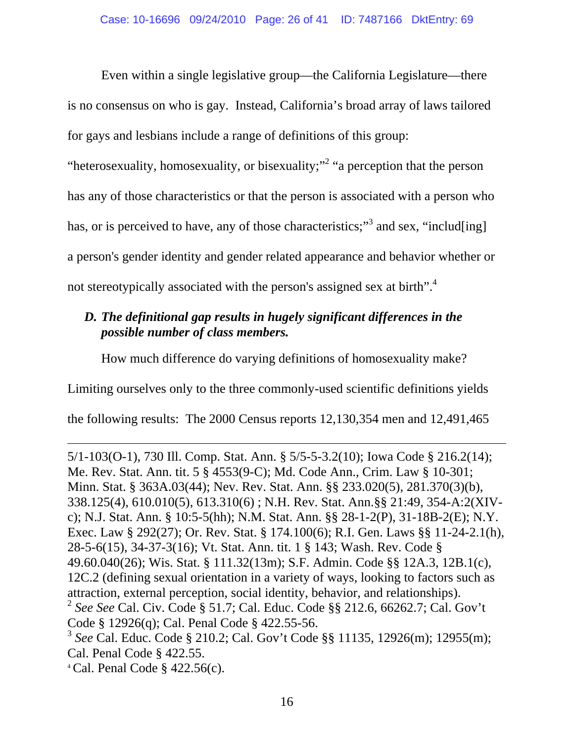Even within a single legislative group—the California Legislature—there is no consensus on who is gay. Instead, California's broad array of laws tailored for gays and lesbians include a range of definitions of this group:

"heterosexuality, homosexuality, or bisexuality;"<sup>2</sup> "a perception that the person

has any of those characteristics or that the person is associated with a person who

has, or is perceived to have, any of those characteristics;"<sup>3</sup> and sex, "includ[ing]

a person's gender identity and gender related appearance and behavior whether or

not stereotypically associated with the person's assigned sex at birth".<sup>4</sup>

### *D. The definitional gap results in hugely significant differences in the possible number of class members.*

How much difference do varying definitions of homosexuality make?

Limiting ourselves only to the three commonly-used scientific definitions yields

the following results: The 2000 Census reports 12,130,354 men and 12,491,465

5/1-103(O-1), 730 Ill. Comp. Stat. Ann. § 5/5-5-3.2(10); Iowa Code § 216.2(14); Me. Rev. Stat. Ann. tit. 5 § 4553(9-C); Md. Code Ann., Crim. Law § 10-301; Minn. Stat. § 363A.03(44); Nev. Rev. Stat. Ann. §§ 233.020(5), 281.370(3)(b), 338.125(4), 610.010(5), 613.310(6) ; N.H. Rev. Stat. Ann.§§ 21:49, 354-A:2(XIVc); N.J. Stat. Ann. § 10:5-5(hh); N.M. Stat. Ann. §§ 28-1-2(P), 31-18B-2(E); N.Y. Exec. Law § 292(27); Or. Rev. Stat. § 174.100(6); R.I. Gen. Laws §§ 11-24-2.1(h), 28-5-6(15), 34-37-3(16); Vt. Stat. Ann. tit. 1 § 143; Wash. Rev. Code § 49.60.040(26); Wis. Stat. § 111.32(13m); S.F. Admin. Code §§ 12A.3, 12B.1(c), 12C.2 (defining sexual orientation in a variety of ways, looking to factors such as attraction, external perception, social identity, behavior, and relationships). <sup>2</sup> *See See* Cal. Civ. Code § 51.7; Cal. Educ. Code §§ 212.6, 66262.7; Cal. Gov't Code § 12926(q); Cal. Penal Code § 422.55-56. <sup>3</sup> *See* Cal. Educ. Code § 210.2; Cal. Gov't Code §§ 11135, 12926(m); 12955(m);

Cal. Penal Code § 422.55.

 $\overline{a}$ 

 $4$  Cal. Penal Code § 422.56(c).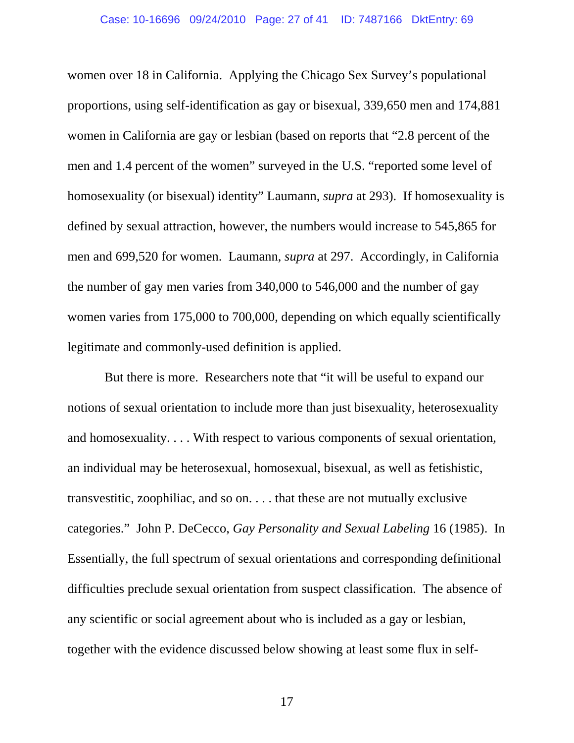women over 18 in California. Applying the Chicago Sex Survey's populational proportions, using self-identification as gay or bisexual, 339,650 men and 174,881 women in California are gay or lesbian (based on reports that "2.8 percent of the men and 1.4 percent of the women" surveyed in the U.S. "reported some level of homosexuality (or bisexual) identity" Laumann, *supra* at 293). If homosexuality is defined by sexual attraction, however, the numbers would increase to 545,865 for men and 699,520 for women. Laumann, *supra* at 297. Accordingly, in California the number of gay men varies from 340,000 to 546,000 and the number of gay women varies from 175,000 to 700,000, depending on which equally scientifically legitimate and commonly-used definition is applied.

 But there is more. Researchers note that "it will be useful to expand our notions of sexual orientation to include more than just bisexuality, heterosexuality and homosexuality. . . . With respect to various components of sexual orientation, an individual may be heterosexual, homosexual, bisexual, as well as fetishistic, transvestitic, zoophiliac, and so on. . . . that these are not mutually exclusive categories." John P. DeCecco, *Gay Personality and Sexual Labeling* 16 (1985). In Essentially, the full spectrum of sexual orientations and corresponding definitional difficulties preclude sexual orientation from suspect classification. The absence of any scientific or social agreement about who is included as a gay or lesbian, together with the evidence discussed below showing at least some flux in self-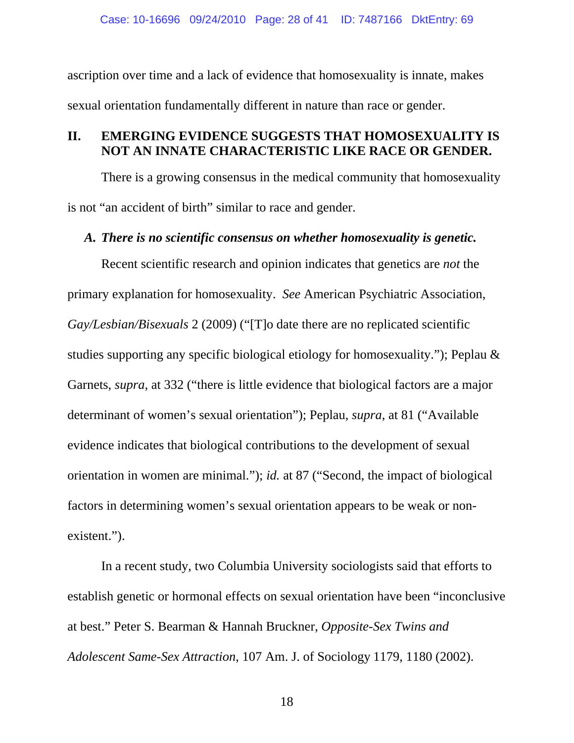ascription over time and a lack of evidence that homosexuality is innate, makes sexual orientation fundamentally different in nature than race or gender.

### **II. EMERGING EVIDENCE SUGGESTS THAT HOMOSEXUALITY IS NOT AN INNATE CHARACTERISTIC LIKE RACE OR GENDER.**

There is a growing consensus in the medical community that homosexuality is not "an accident of birth" similar to race and gender.

### *A. There is no scientific consensus on whether homosexuality is genetic.*

Recent scientific research and opinion indicates that genetics are *not* the primary explanation for homosexuality. *See* American Psychiatric Association, *Gay/Lesbian/Bisexuals* 2 (2009) ("[T]o date there are no replicated scientific studies supporting any specific biological etiology for homosexuality."); Peplau & Garnets, *supra*, at 332 ("there is little evidence that biological factors are a major determinant of women's sexual orientation"); Peplau, *supra*, at 81 ("Available evidence indicates that biological contributions to the development of sexual orientation in women are minimal."); *id.* at 87 ("Second, the impact of biological factors in determining women's sexual orientation appears to be weak or nonexistent.").

In a recent study, two Columbia University sociologists said that efforts to establish genetic or hormonal effects on sexual orientation have been "inconclusive at best." Peter S. Bearman & Hannah Bruckner, *Opposite-Sex Twins and Adolescent Same-Sex Attraction*, 107 Am. J. of Sociology 1179, 1180 (2002).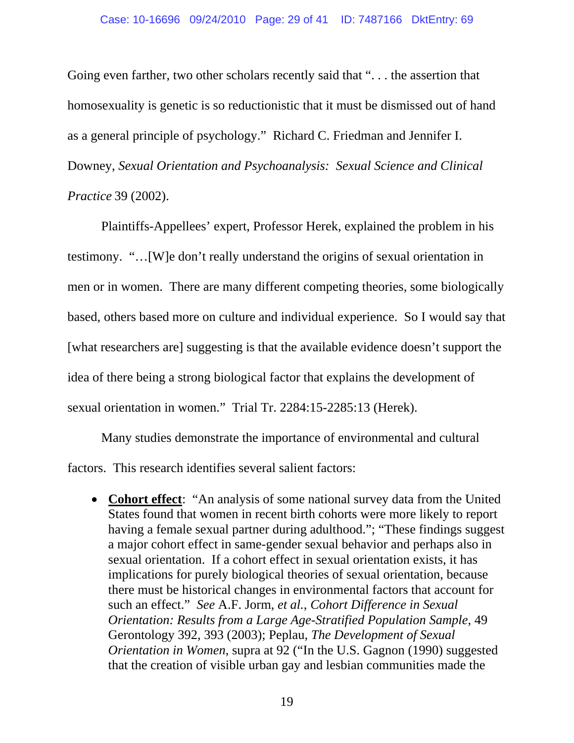Going even farther, two other scholars recently said that "... the assertion that homosexuality is genetic is so reductionistic that it must be dismissed out of hand as a general principle of psychology." Richard C. Friedman and Jennifer I. Downey, *Sexual Orientation and Psychoanalysis: Sexual Science and Clinical Practice* 39 (2002).

Plaintiffs-Appellees' expert, Professor Herek, explained the problem in his testimony. "…[W]e don't really understand the origins of sexual orientation in men or in women. There are many different competing theories, some biologically based, others based more on culture and individual experience. So I would say that [what researchers are] suggesting is that the available evidence doesn't support the idea of there being a strong biological factor that explains the development of sexual orientation in women." Trial Tr. 2284:15-2285:13 (Herek).

Many studies demonstrate the importance of environmental and cultural factors. This research identifies several salient factors:

• **Cohort effect**: "An analysis of some national survey data from the United States found that women in recent birth cohorts were more likely to report having a female sexual partner during adulthood."; "These findings suggest a major cohort effect in same-gender sexual behavior and perhaps also in sexual orientation. If a cohort effect in sexual orientation exists, it has implications for purely biological theories of sexual orientation, because there must be historical changes in environmental factors that account for such an effect." *See* A.F. Jorm, *et al.*, *Cohort Difference in Sexual Orientation: Results from a Large Age-Stratified Population Sample*, 49 Gerontology 392, 393 (2003); Peplau, *The Development of Sexual Orientation in Women*, supra at 92 ("In the U.S. Gagnon (1990) suggested that the creation of visible urban gay and lesbian communities made the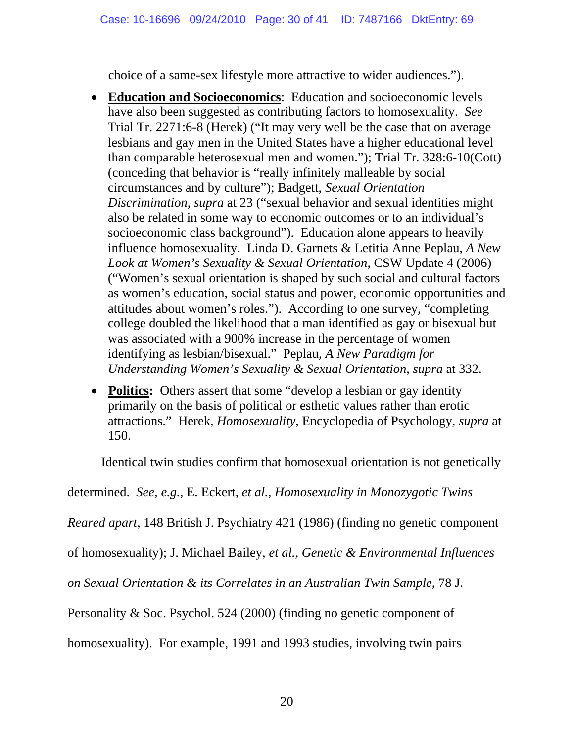choice of a same-sex lifestyle more attractive to wider audiences.").

- **Education and Socioeconomics**: Education and socioeconomic levels have also been suggested as contributing factors to homosexuality. *See*  Trial Tr. 2271:6-8 (Herek) ("It may very well be the case that on average lesbians and gay men in the United States have a higher educational level than comparable heterosexual men and women."); Trial Tr. 328:6-10(Cott) (conceding that behavior is "really infinitely malleable by social circumstances and by culture"); Badgett, *Sexual Orientation Discrimination*, *supra* at 23 ("sexual behavior and sexual identities might also be related in some way to economic outcomes or to an individual's socioeconomic class background"). Education alone appears to heavily influence homosexuality. Linda D. Garnets & Letitia Anne Peplau, *A New Look at Women's Sexuality & Sexual Orientation*, CSW Update 4 (2006) ("Women's sexual orientation is shaped by such social and cultural factors as women's education, social status and power, economic opportunities and attitudes about women's roles."). According to one survey, "completing college doubled the likelihood that a man identified as gay or bisexual but was associated with a 900% increase in the percentage of women identifying as lesbian/bisexual." Peplau, *A New Paradigm for Understanding Women's Sexuality & Sexual Orientation*, *supra* at 332.
- **Politics:** Others assert that some "develop a lesbian or gay identity" primarily on the basis of political or esthetic values rather than erotic attractions." Herek, *Homosexuality*, Encyclopedia of Psychology, *supra* at 150.

Identical twin studies confirm that homosexual orientation is not genetically

determined. *See, e.g.,* E. Eckert, *et al.*, *Homosexuality in Monozygotic Twins* 

*Reared apart*, 148 British J. Psychiatry 421 (1986) (finding no genetic component

of homosexuality); J. Michael Bailey, *et al.*, *Genetic & Environmental Influences* 

*on Sexual Orientation & its Correlates in an Australian Twin Sample*, 78 J.

Personality & Soc. Psychol. 524 (2000) (finding no genetic component of

homosexuality). For example, 1991 and 1993 studies, involving twin pairs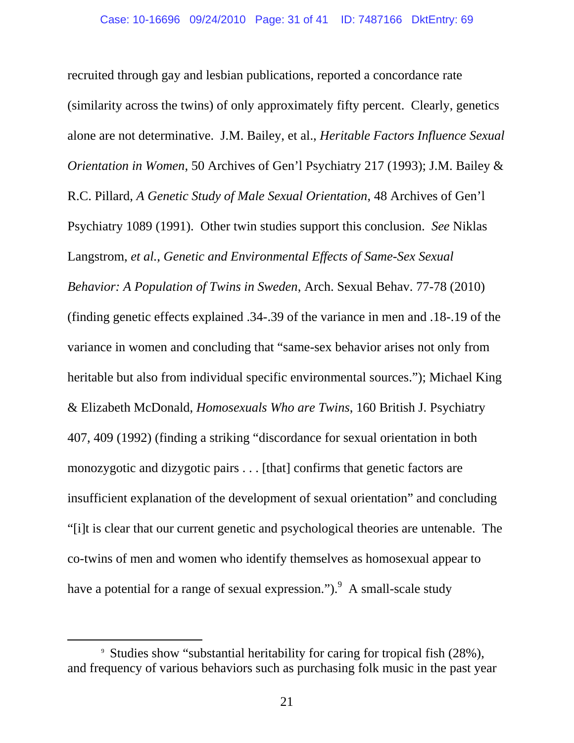recruited through gay and lesbian publications, reported a concordance rate (similarity across the twins) of only approximately fifty percent. Clearly, genetics alone are not determinative. J.M. Bailey, et al., *Heritable Factors Influence Sexual Orientation in Women*, 50 Archives of Gen'l Psychiatry 217 (1993); J.M. Bailey & R.C. Pillard, *A Genetic Study of Male Sexual Orientation*, 48 Archives of Gen'l Psychiatry 1089 (1991). Other twin studies support this conclusion. *See* Niklas Langstrom, *et al.*, *Genetic and Environmental Effects of Same-Sex Sexual Behavior: A Population of Twins in Sweden*, Arch. Sexual Behav. 77-78 (2010) (finding genetic effects explained .34-.39 of the variance in men and .18-.19 of the variance in women and concluding that "same-sex behavior arises not only from heritable but also from individual specific environmental sources."); Michael King & Elizabeth McDonald, *Homosexuals Who are Twins*, 160 British J. Psychiatry 407, 409 (1992) (finding a striking "discordance for sexual orientation in both monozygotic and dizygotic pairs . . . [that] confirms that genetic factors are insufficient explanation of the development of sexual orientation" and concluding "[i]t is clear that our current genetic and psychological theories are untenable. The co-twins of men and women who identify themselves as homosexual appear to have a potential for a range of sexual expression.").  $9 \text{ A small-scale study}$ 

 <sup>9</sup> Studies show "substantial heritability for caring for tropical fish (28%), and frequency of various behaviors such as purchasing folk music in the past year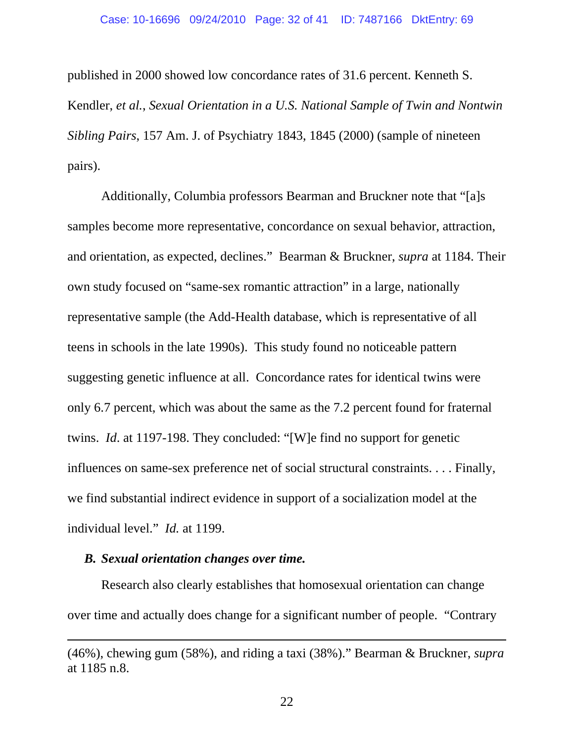published in 2000 showed low concordance rates of 31.6 percent. Kenneth S. Kendler, *et al.*, *Sexual Orientation in a U.S. National Sample of Twin and Nontwin Sibling Pairs*, 157 Am. J. of Psychiatry 1843, 1845 (2000) (sample of nineteen pairs).

Additionally, Columbia professors Bearman and Bruckner note that "[a]s samples become more representative, concordance on sexual behavior, attraction, and orientation, as expected, declines." Bearman & Bruckner, *supra* at 1184. Their own study focused on "same-sex romantic attraction" in a large, nationally representative sample (the Add-Health database, which is representative of all teens in schools in the late 1990s). This study found no noticeable pattern suggesting genetic influence at all. Concordance rates for identical twins were only 6.7 percent, which was about the same as the 7.2 percent found for fraternal twins. *Id*. at 1197-198. They concluded: "[W]e find no support for genetic influences on same-sex preference net of social structural constraints. . . . Finally, we find substantial indirect evidence in support of a socialization model at the individual level." *Id.* at 1199.

### *B. Sexual orientation changes over time.*

 $\overline{a}$ 

Research also clearly establishes that homosexual orientation can change over time and actually does change for a significant number of people. "Contrary

<sup>(46%),</sup> chewing gum (58%), and riding a taxi (38%)." Bearman & Bruckner, *supra* at 1185 n.8.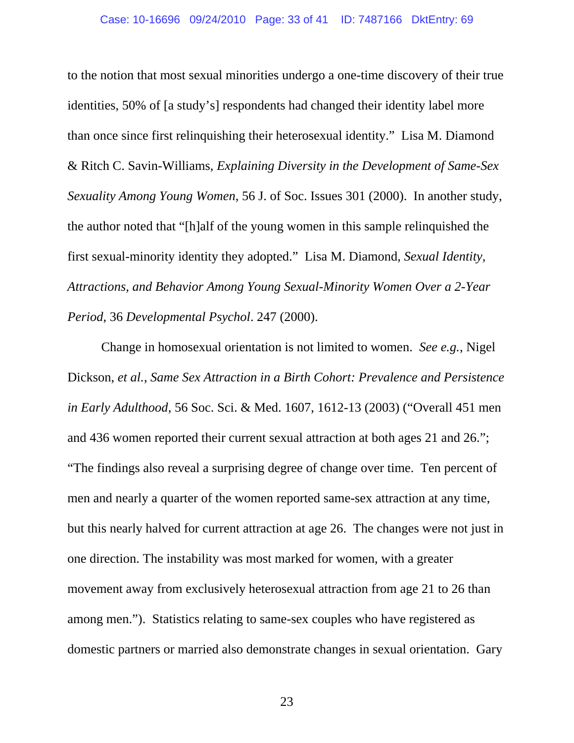to the notion that most sexual minorities undergo a one-time discovery of their true identities, 50% of [a study's] respondents had changed their identity label more than once since first relinquishing their heterosexual identity." Lisa M. Diamond & Ritch C. Savin-Williams, *Explaining Diversity in the Development of Same-Sex Sexuality Among Young Women*, 56 J. of Soc. Issues 301 (2000). In another study, the author noted that "[h]alf of the young women in this sample relinquished the first sexual-minority identity they adopted." Lisa M. Diamond, *Sexual Identity, Attractions, and Behavior Among Young Sexual-Minority Women Over a 2-Year Period*, 36 *Developmental Psychol*. 247 (2000).

Change in homosexual orientation is not limited to women. *See e.g.*, Nigel Dickson, *et al.*, *Same Sex Attraction in a Birth Cohort: Prevalence and Persistence in Early Adulthood*, 56 Soc. Sci. & Med. 1607, 1612-13 (2003) ("Overall 451 men and 436 women reported their current sexual attraction at both ages 21 and 26."; "The findings also reveal a surprising degree of change over time. Ten percent of men and nearly a quarter of the women reported same-sex attraction at any time, but this nearly halved for current attraction at age 26. The changes were not just in one direction. The instability was most marked for women, with a greater movement away from exclusively heterosexual attraction from age 21 to 26 than among men."). Statistics relating to same-sex couples who have registered as domestic partners or married also demonstrate changes in sexual orientation. Gary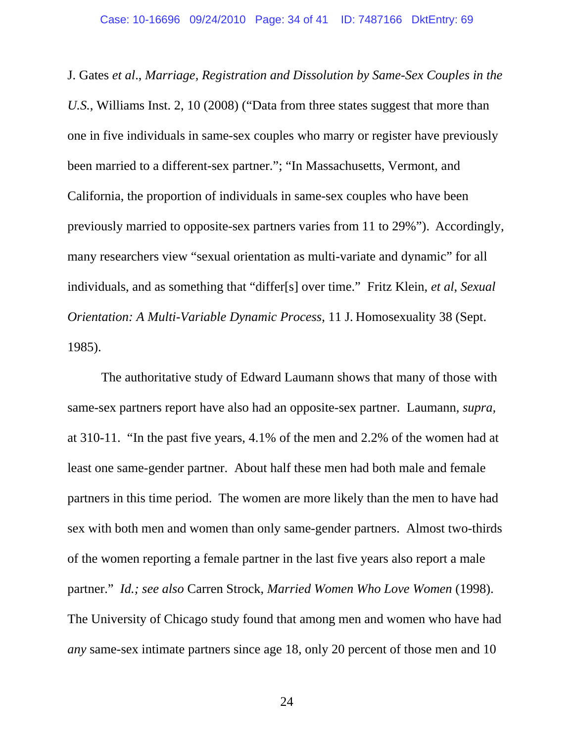J. Gates *et al*., *Marriage, Registration and Dissolution by Same-Sex Couples in the U.S.*, Williams Inst. 2, 10 (2008) ("Data from three states suggest that more than one in five individuals in same-sex couples who marry or register have previously been married to a different-sex partner."; "In Massachusetts, Vermont, and California, the proportion of individuals in same-sex couples who have been previously married to opposite-sex partners varies from 11 to 29%"). Accordingly, many researchers view "sexual orientation as multi-variate and dynamic" for all individuals, and as something that "differ[s] over time." Fritz Klein, *et al*, *Sexual Orientation: A Multi-Variable Dynamic Process*, 11 J. Homosexuality 38 (Sept. 1985).

The authoritative study of Edward Laumann shows that many of those with same-sex partners report have also had an opposite-sex partner. Laumann, *supra,*  at 310-11. "In the past five years, 4.1% of the men and 2.2% of the women had at least one same-gender partner. About half these men had both male and female partners in this time period. The women are more likely than the men to have had sex with both men and women than only same-gender partners. Almost two-thirds of the women reporting a female partner in the last five years also report a male partner." *Id.; see also* Carren Strock, *Married Women Who Love Women* (1998). The University of Chicago study found that among men and women who have had *any* same-sex intimate partners since age 18, only 20 percent of those men and 10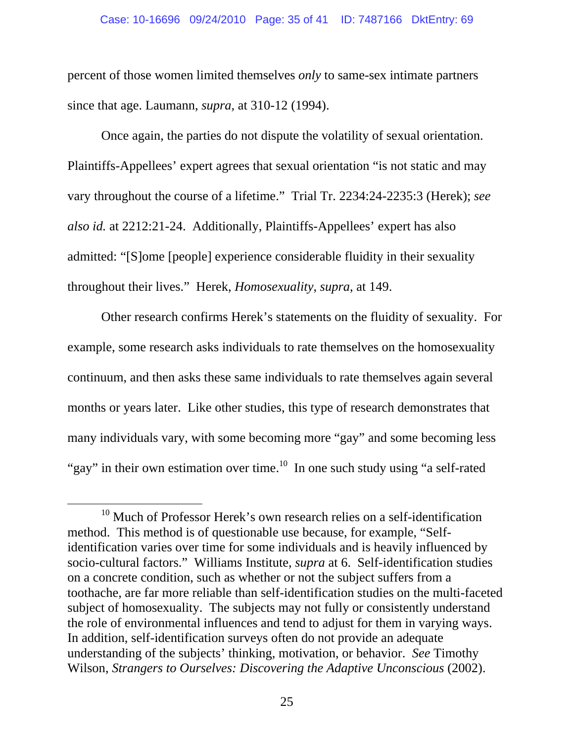percent of those women limited themselves *only* to same-sex intimate partners since that age. Laumann, *supra,* at 310-12 (1994).

Once again, the parties do not dispute the volatility of sexual orientation. Plaintiffs-Appellees' expert agrees that sexual orientation "is not static and may vary throughout the course of a lifetime." Trial Tr. 2234:24-2235:3 (Herek); *see also id.* at 2212:21-24. Additionally, Plaintiffs-Appellees' expert has also admitted: "[S]ome [people] experience considerable fluidity in their sexuality throughout their lives." Herek, *Homosexuality*, *supra*, at 149.

Other research confirms Herek's statements on the fluidity of sexuality. For example, some research asks individuals to rate themselves on the homosexuality continuum, and then asks these same individuals to rate themselves again several months or years later. Like other studies, this type of research demonstrates that many individuals vary, with some becoming more "gay" and some becoming less "gay" in their own estimation over time.<sup>10</sup> In one such study using "a self-rated"

 $10$  Much of Professor Herek's own research relies on a self-identification method. This method is of questionable use because, for example, "Selfidentification varies over time for some individuals and is heavily influenced by socio-cultural factors." Williams Institute, *supra* at 6. Self-identification studies on a concrete condition, such as whether or not the subject suffers from a toothache, are far more reliable than self-identification studies on the multi-faceted subject of homosexuality. The subjects may not fully or consistently understand the role of environmental influences and tend to adjust for them in varying ways. In addition, self-identification surveys often do not provide an adequate understanding of the subjects' thinking, motivation, or behavior. *See* Timothy Wilson, *Strangers to Ourselves: Discovering the Adaptive Unconscious* (2002).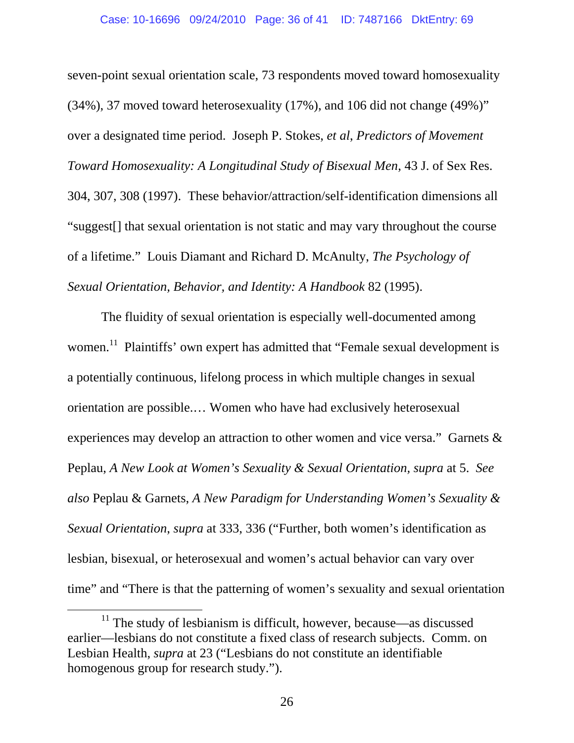seven-point sexual orientation scale, 73 respondents moved toward homosexuality (34%), 37 moved toward heterosexuality (17%), and 106 did not change (49%)" over a designated time period. Joseph P. Stokes, *et al*, *Predictors of Movement Toward Homosexuality: A Longitudinal Study of Bisexual Men*, 43 J. of Sex Res. 304, 307, 308 (1997). These behavior/attraction/self-identification dimensions all "suggest[] that sexual orientation is not static and may vary throughout the course of a lifetime." Louis Diamant and Richard D. McAnulty, *The Psychology of Sexual Orientation, Behavior, and Identity: A Handbook* 82 (1995).

The fluidity of sexual orientation is especially well-documented among women.<sup>11</sup> Plaintiffs' own expert has admitted that "Female sexual development is a potentially continuous, lifelong process in which multiple changes in sexual orientation are possible.… Women who have had exclusively heterosexual experiences may develop an attraction to other women and vice versa." Garnets & Peplau, *A New Look at Women's Sexuality & Sexual Orientation, supra* at 5. *See also* Peplau & Garnets, *A New Paradigm for Understanding Women's Sexuality & Sexual Orientation*, *supra* at 333, 336 ("Further, both women's identification as lesbian, bisexual, or heterosexual and women's actual behavior can vary over time" and "There is that the patterning of women's sexuality and sexual orientation

 $11$  The study of lesbianism is difficult, however, because—as discussed earlier—lesbians do not constitute a fixed class of research subjects. Comm. on Lesbian Health, *supra* at 23 ("Lesbians do not constitute an identifiable homogenous group for research study.").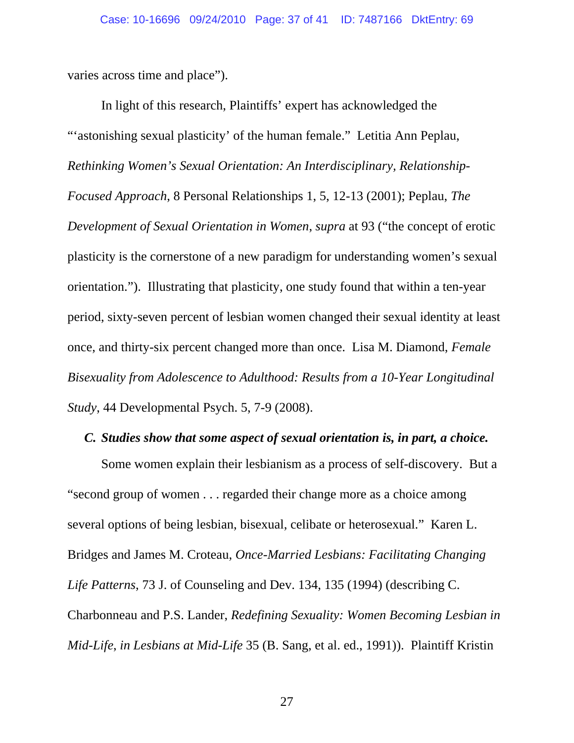varies across time and place").

In light of this research, Plaintiffs' expert has acknowledged the "'astonishing sexual plasticity' of the human female." Letitia Ann Peplau, *Rethinking Women's Sexual Orientation: An Interdisciplinary, Relationship-Focused Approach*, 8 Personal Relationships 1, 5, 12-13 (2001); Peplau, *The Development of Sexual Orientation in Women*, *supra* at 93 ("the concept of erotic plasticity is the cornerstone of a new paradigm for understanding women's sexual orientation."). Illustrating that plasticity, one study found that within a ten-year period, sixty-seven percent of lesbian women changed their sexual identity at least once, and thirty-six percent changed more than once. Lisa M. Diamond, *Female Bisexuality from Adolescence to Adulthood: Results from a 10-Year Longitudinal Study*, 44 Developmental Psych. 5, 7-9 (2008).

### *C. Studies show that some aspect of sexual orientation is, in part, a choice.*

Some women explain their lesbianism as a process of self-discovery. But a "second group of women . . . regarded their change more as a choice among several options of being lesbian, bisexual, celibate or heterosexual." Karen L. Bridges and James M. Croteau, *Once-Married Lesbians: Facilitating Changing Life Patterns*, 73 J. of Counseling and Dev. 134, 135 (1994) (describing C. Charbonneau and P.S. Lander, *Redefining Sexuality: Women Becoming Lesbian in Mid-Life*, *in Lesbians at Mid-Life* 35 (B. Sang, et al. ed., 1991)). Plaintiff Kristin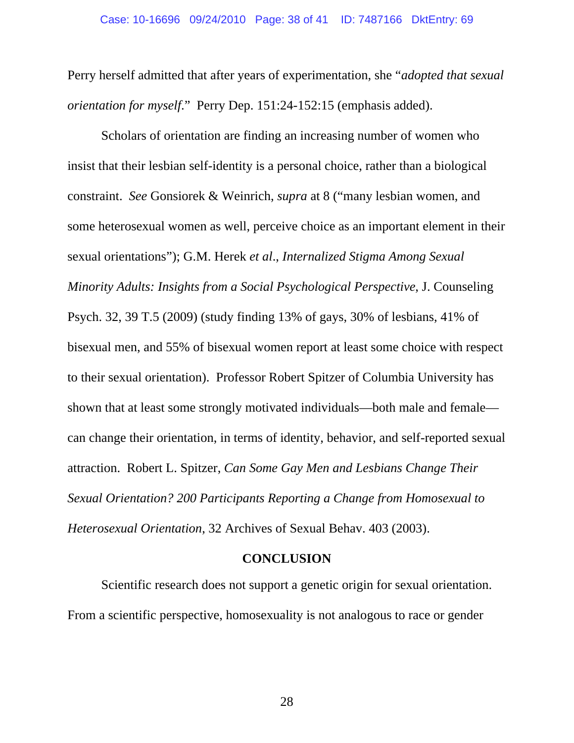Perry herself admitted that after years of experimentation, she "*adopted that sexual orientation for myself*." Perry Dep. 151:24-152:15 (emphasis added).

Scholars of orientation are finding an increasing number of women who insist that their lesbian self-identity is a personal choice, rather than a biological constraint. *See* Gonsiorek & Weinrich, *supra* at 8 ("many lesbian women, and some heterosexual women as well, perceive choice as an important element in their sexual orientations"); G.M. Herek *et al*., *Internalized Stigma Among Sexual Minority Adults: Insights from a Social Psychological Perspective*, J. Counseling Psych. 32, 39 T.5 (2009) (study finding 13% of gays, 30% of lesbians, 41% of bisexual men, and 55% of bisexual women report at least some choice with respect to their sexual orientation).Professor Robert Spitzer of Columbia University has shown that at least some strongly motivated individuals—both male and female can change their orientation, in terms of identity, behavior, and self-reported sexual attraction. Robert L. Spitzer, *Can Some Gay Men and Lesbians Change Their Sexual Orientation? 200 Participants Reporting a Change from Homosexual to Heterosexual Orientation*, 32 Archives of Sexual Behav. 403 (2003).

#### **CONCLUSION**

Scientific research does not support a genetic origin for sexual orientation. From a scientific perspective, homosexuality is not analogous to race or gender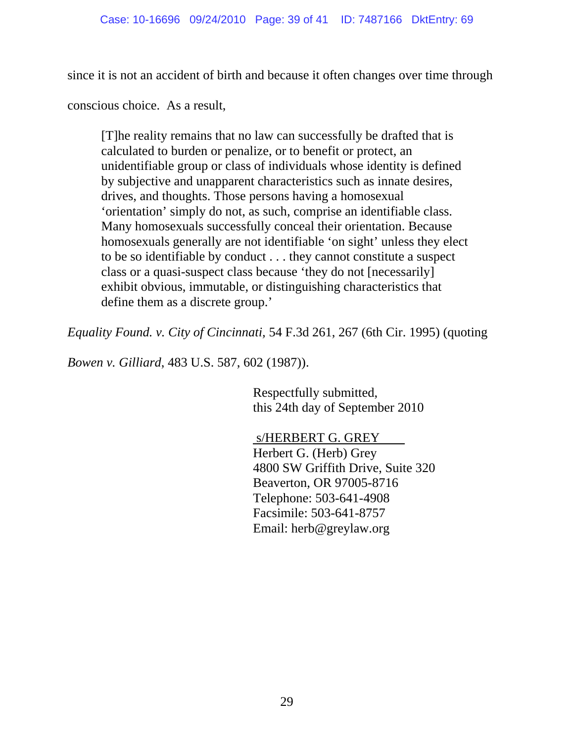since it is not an accident of birth and because it often changes over time through

conscious choice. As a result,

[T]he reality remains that no law can successfully be drafted that is calculated to burden or penalize, or to benefit or protect, an unidentifiable group or class of individuals whose identity is defined by subjective and unapparent characteristics such as innate desires, drives, and thoughts. Those persons having a homosexual 'orientation' simply do not, as such, comprise an identifiable class. Many homosexuals successfully conceal their orientation. Because homosexuals generally are not identifiable 'on sight' unless they elect to be so identifiable by conduct . . . they cannot constitute a suspect class or a quasi-suspect class because 'they do not [necessarily] exhibit obvious, immutable, or distinguishing characteristics that define them as a discrete group.'

*Equality Found. v. City of Cincinnati,* 54 F.3d 261, 267 (6th Cir. 1995) (quoting

*Bowen v. Gilliard*, 483 U.S. 587, 602 (1987)).

 Respectfully submitted, this 24th day of September 2010

 s/HERBERT G. GREY Herbert G. (Herb) Grey 4800 SW Griffith Drive, Suite 320 Beaverton, OR 97005-8716 Telephone: 503-641-4908 Facsimile: 503-641-8757 Email: herb@greylaw.org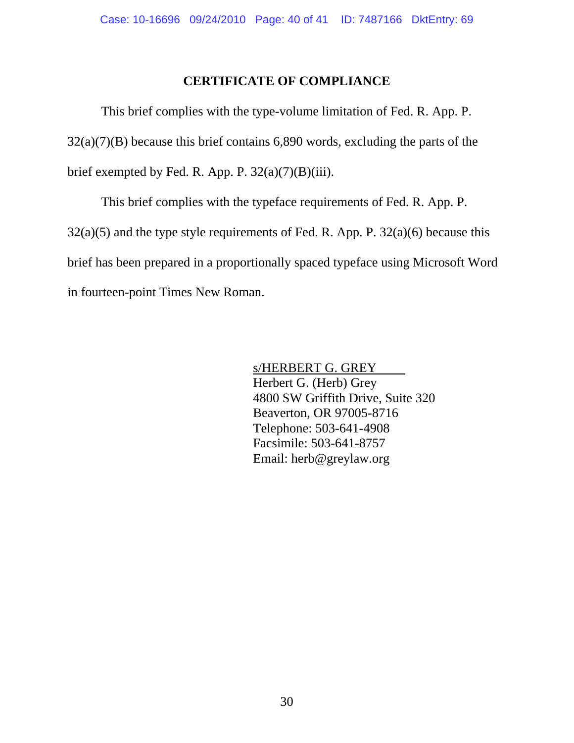### **CERTIFICATE OF COMPLIANCE**

This brief complies with the type-volume limitation of Fed. R. App. P.  $32(a)(7)(B)$  because this brief contains 6,890 words, excluding the parts of the brief exempted by Fed. R. App. P.  $32(a)(7)(B)(iii)$ .

This brief complies with the typeface requirements of Fed. R. App. P.  $32(a)(5)$  and the type style requirements of Fed. R. App. P.  $32(a)(6)$  because this brief has been prepared in a proportionally spaced typeface using Microsoft Word in fourteen-point Times New Roman.

> s/HERBERT G. GREY Herbert G. (Herb) Grey 4800 SW Griffith Drive, Suite 320 Beaverton, OR 97005-8716 Telephone: 503-641-4908 Facsimile: 503-641-8757 Email: herb@greylaw.org